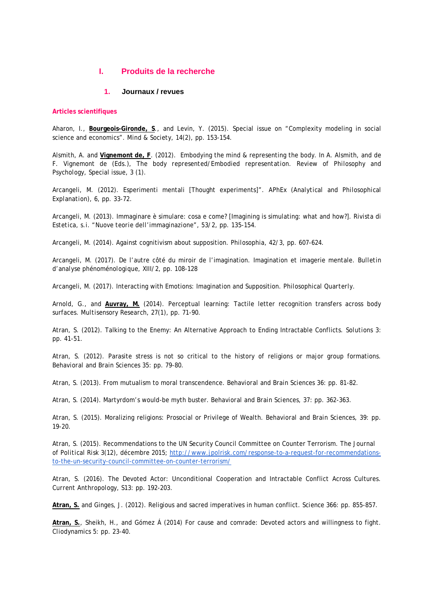# **I. Produits de la recherche**

# **1. Journaux / revues**

### **Articles scientifiques**

Aharon, I., **Bourgeois-Gironde, S**., and Levin, Y. (2015). Special issue on "Complexity modeling in social science and economics". *Mind & Society*, 14(2), pp. 153-154.

Alsmith, A. and **Vignemont de, F**. (2012). Embodying the mind & representing the body. In A. Alsmith, and de F. Vignemont de (Eds.), *The body represented/Embodied representation. Review of Philosophy and Psychology*, Special issue, 3 (1).

Arcangeli, M. (2012). Esperimenti mentali [Thought experiments]". *APhEx (Analytical and Philosophical Explanation)*, 6, pp. 33-72.

Arcangeli, M. (2013). Immaginare è simulare: cosa e come? [Imagining is simulating: what and how?]. *Rivista di Estetica, s.i. "Nuove teorie dell'immaginazione"*, 53/2, pp. 135-154.

Arcangeli, M. (2014). Against cognitivism about supposition*. Philosophia*, 42/3, pp. 607-624.

Arcangeli, M. (2017). De l'autre côté du miroir de l'imagination. Imagination et imagerie mentale. *Bulletin d'analyse phénoménologique*, XIII/2, pp. 108-128

Arcangeli, M. (2017). Interacting with Emotions: Imagination and Supposition. *Philosophical Quarterly*.

Arnold, G., and **Auvray, M.** (2014). Perceptual learning: Tactile letter recognition transfers across body surfaces. *Multisensory Research*, 27(1), pp. 71-90.

Atran, S. (2012). Talking to the Enemy: An Alternative Approach to Ending Intractable Conflicts. *Solutions* 3: pp. 41-51.

Atran, S. (2012). Parasite stress is not so critical to the history of religions or major group formations. *Behavioral and Brain Sciences* 35: pp. 79-80.

Atran, S. (2013). From mutualism to moral transcendence. *Behavioral and Brain Sciences* 36: pp. 81-82.

Atran, S. (2014). Martyrdom's would-be myth buster. *Behavioral and Brain Sciences*, 37: pp. 362-363.

Atran, S. (2015). Moralizing religions: Prosocial or Privilege of Wealth. *Behavioral and Brain Sciences*, 39: pp. 19-20.

Atran, S. (2015). Recommendations to the UN Security Council Committee on Counter Terrorism. *The Journal of Political Risk* 3(12), décembre 2015; [http://www.jpolrisk.com/response-to-a-request-for-recommendations](http://www.jpolrisk.com/response-to-a-request-for-recommendations-to-the-un-security-council-committee-on-counter-terrorism/)[to-the-un-security-council-committee-on-counter-terrorism/](http://www.jpolrisk.com/response-to-a-request-for-recommendations-to-the-un-security-council-committee-on-counter-terrorism/)

Atran, S. (2016). The Devoted Actor: Unconditional Cooperation and Intractable Conflict Across Cultures. *Current Anthropology*, S13: pp. 192-203.

**Atran, S.** and Ginges, J. (2012). Religious and sacred imperatives in human conflict. *Science* 366: pp. 855-857.

**Atran, S.**, Sheikh, H., and Gómez Á (2014) For cause and comrade: Devoted actors and willingness to fight. *Cliodynamics* 5: pp. 23-40.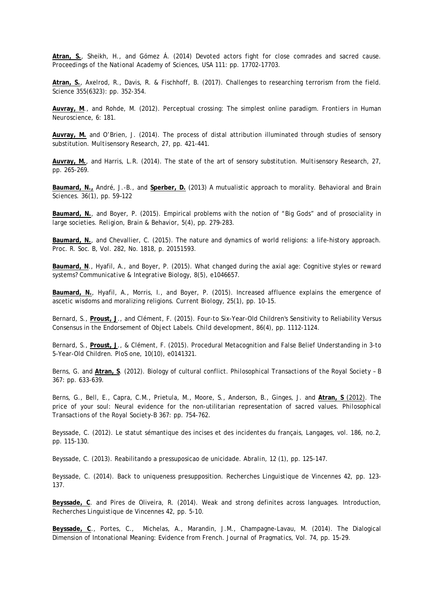**Atran, S.**, Sheikh, H., and Gómez Á. (2014) Devoted actors fight for close comrades and sacred cause. *Proceedings of the National Academy of Sciences*, USA 111: pp. 17702-17703.

**Atran, S.**, Axelrod, R., Davis, R. & Fischhoff, B. (2017). Challenges to researching terrorism from the field*. Science* 355(6323): pp. 352-354.

**Auvray, M**., and Rohde, M. (2012). Perceptual crossing: The simplest online paradigm. *Frontiers in Human Neuroscience*, 6: 181.

**Auvray, M.** and O'Brien, J. (2014). The process of distal attribution illuminated through studies of sensory substitution. *Multisensory Research*, 27, pp. 421-441.

**Auvray, M.**, and Harris, L.R. (2014). The state of the art of sensory substitution. *Multisensory Research*, 27, pp. 265-269.

**Baumard, N.,** André, J.-B., and **Sperber, D.** (2013) A mutualistic approach to morality. *Behavioral and Brain Sciences*. 36(1), pp. 59–122

**Baumard, N.**, and Boyer, P. (2015). Empirical problems with the notion of "Big Gods" and of prosociality in large societies. *Religion, Brain & Behavior*, 5(4), pp. 279-283.

**Baumard, N.**, and Chevallier, C. (2015). The nature and dynamics of world religions: a life-history approach. *Proc. R. Soc. B*, Vol. 282, No. 1818, p. 20151593.

**Baumard, N**., Hyafil, A., and Boyer, P. (2015). What changed during the axial age: Cognitive styles or reward systems? *Communicative & Integrative Biology*, 8(5), e1046657.

**Baumard, N.**, Hyafil, A., Morris, I., and Boyer, P. (2015). Increased affluence explains the emergence of ascetic wisdoms and moralizing religions. *Current Biology*, 25(1), pp. 10-15.

Bernard, S., **Proust, J**., and Clément, F. (2015). Four-to Six-Year-Old Children's Sensitivity to Reliability Versus Consensus in the Endorsement of Object Labels. *Child development*, 86(4), pp. 1112-1124.

Bernard, S., **Proust, J**., & Clément, F. (2015). Procedural Metacognition and False Belief Understanding in 3-to 5-Year-Old Children. *PloS one*, 10(10), e0141321.

Berns, G. and **Atran, S**. (2012). Biology of cultural conflict. *Philosophical Transactions of the Royal Society –* B 367: pp. 633-639.

Berns, G., Bell, E., Capra, C.M., Prietula, M., Moore, S., Anderson, B., Ginges, J. and **Atran, S** (2012). The price of your soul: Neural evidence for the non-utilitarian representation of sacred values. *Philosophical Transactions of the Royal Society-B* 367: pp. 754-762.

Beyssade, C. (2012). Le statut sémantique des incises et des incidentes du français, *Langages,* vol. 186, no.2, pp. 115-130.

Beyssade, C. (2013). Reabilitando a pressuposicao de unicidade. *Abralin*, 12 (1), pp. 125-147.

Beyssade, C. (2014). Back to uniqueness presupposition. *Recherches Linguistique de Vincennes* 42, pp. 123- 137.

**Beyssade, C**. and Pires de Oliveira, R. (2014). Weak and strong definites across languages. Introduction, *Recherches Linguistique de Vincennes* 42, pp. 5-10.

**Beyssade, C**., Portes, C., Michelas, A., Marandin, J.M., Champagne-Lavau, M. (2014). The Dialogical Dimension of Intonational Meaning: Evidence from French. *Journal of Pragmatics*, Vol. 74, pp. 15-29.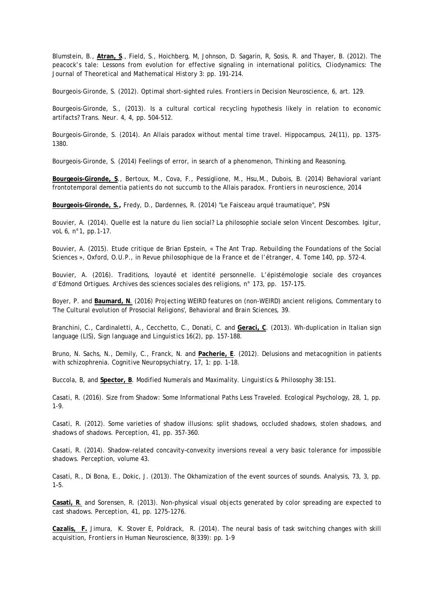Blumstein, B., **Atran, S**., Field, S., Hoichberg, M, Johnson, D. Sagarin, R, Sosis, R. and Thayer, B. (2012). The peacock's tale: Lessons from evolution for effective signaling in international politics, *Cliodynamics: The Journal of Theoretical and Mathematical History* 3: pp. 191-214.

Bourgeois-Gironde, S. (2012). Optimal short-sighted rules. *Frontiers in Decision Neuroscience*, 6, art. 129.

Bourgeois-Gironde, S., (2013). Is a cultural cortical recycling hypothesis likely in relation to economic artifacts? *Trans. Neur*. 4, 4, pp. 504-512.

Bourgeois-Gironde, S. (2014). An Allais paradox without mental time travel. *Hippocampus*, 24(11), pp. 1375- 1380.

Bourgeois-Gironde, S. (2014) Feelings of error, in search of a phenomenon, *Thinking and Reasoning*.

**Bourgeois-Gironde, S**., Bertoux, M., Cova, F., Pessiglione, M., Hsu,M., Dubois, B. (2014) Behavioral variant frontotemporal dementia patients do not succumb to the Allais paradox. *Frontiers in neuroscience*, 2014

**Bourgeois-Gironde, S.,** Fredy, D., Dardennes, R. (2014) "Le Faisceau arqué traumatique", PSN

Bouvier, A. (2014). Quelle est la nature du lien social? La philosophie sociale selon Vincent Descombes. *Igitur*, voL 6, n°1, pp.1-17.

Bouvier, A. (2015). Etude critique de Brian Epstein, « The Ant Trap. Rebuilding the Foundations of the Social Sciences », Oxford, O.U.P., in *Revue philosophique de la France et de l'étranger*, 4. Tome 140, pp. 572-4.

Bouvier, A. (2016). Traditions, loyauté et identité personnelle. L'épistémologie sociale des croyances d'Edmond Ortigues. *Archives des sciences sociales des religions*, n° 173, pp. 157-175.

Boyer, P. and **Baumard, N**. (2016) Projecting WEIRD features on (non-WEIRD) ancient religions, Commentary to 'The Cultural evolution of Prosocial Religions', *Behavioral and Brain Sciences*, 39.

Branchini, C., Cardinaletti, A., Cecchetto, C., Donati, C. and **Geraci, C**. (2013). Wh-duplication in Italian sign language (LIS), *Sign language and Linguistics* 16(2), pp. 157-188.

Bruno, N. Sachs, N., Demily, C., Franck, N. and **Pacherie, E**. (2012). Delusions and metacognition in patients with schizophrenia. *Cognitive Neuropsychiatry*, 17, 1: pp. 1-18.

Buccola, B, and **Spector, B**. Modified Numerals and Maximality*. Linguistics & Philosophy* 38:151.

Casati, R. (2016). Size from Shadow: Some Informational Paths Less Traveled. *Ecological Psychology*, 28, 1, pp. 1-9.

Casati, R. (2012). Some varieties of shadow illusions: split shadows, occluded shadows, stolen shadows, and shadows of shadows. *Perception*, 41, pp. 357-360.

Casati, R. (2014). Shadow-related concavity–convexity inversions reveal a very basic tolerance for impossible shadows. *Perception*, volume 43.

Casati, R., Di Bona, E., Dokic, J. (2013). The Okhamization of the event sources of sounds. *Analysis*, 73, 3, pp. 1–5.

**Casati, R**. and Sorensen, R. (2013). Non-physical visual objects generated by color spreading are expected to cast shadows. *Perception*, 41, pp. 1275-1276.

**Cazalis, F.** Jimura, K. Stover E, Poldrack, R. (2014). The neural basis of task switching changes with skill acquisition, *Frontiers in Human Neuroscience*, 8(339): pp. 1-9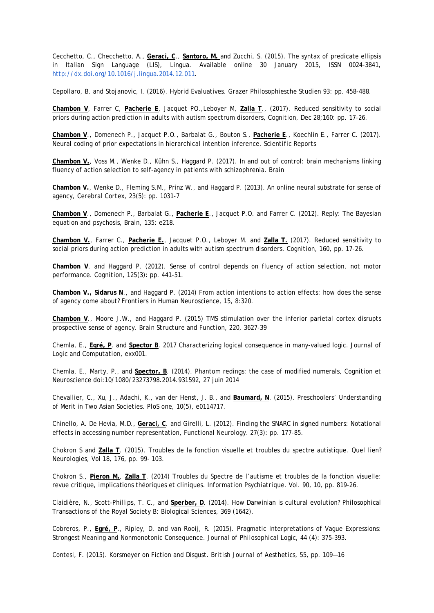Cecchetto, C., Checchetto, A., **Geraci, C**., **Santoro, M.** and Zucchi, S. (2015). The syntax of predicate ellipsis in Italian Sign Language (LIS), *Lingua*. Available online 30 January 2015, ISSN 0024-3841, [http://dx.doi.org/10.1016/j.lingua.2014.12.011.](http://dx.doi.org/10.1016/j.lingua.2014.12.011)

Cepollaro, B. and Stojanovic, I. (2016). Hybrid Evaluatives. *Grazer Philosophiesche Studien* 93: pp. 458-488.

**Chambon V**, Farrer C, **Pacherie E**, Jacquet PO.,Leboyer M, **Zalla T**., (2017). Reduced sensitivity to social priors during action prediction in adults with autism spectrum disorders, *Cognition*, Dec 28;160: pp. 17-26.

**Chambon V**., Domenech P., Jacquet P.O., Barbalat G., Bouton S., **Pacherie E**., Koechlin E., Farrer C. (2017). Neural coding of prior expectations in hierarchical intention inference. *Scientific Reports*

**Chambon V.**, Voss M., Wenke D., Kühn S., Haggard P. (2017). In and out of control: brain mechanisms linking fluency of action selection to self-agency in patients with schizophrenia. *Brain*

**Chambon V.**, Wenke D., Fleming S.M., Prinz W., and Haggard P. (2013). An online neural substrate for sense of agency, *Cerebral Cortex*, 23(5): pp. 1031-7

**Chambon V**., Domenech P., Barbalat G., **Pacherie E**., Jacquet P.O. and Farrer C. (2012). Reply: The Bayesian equation and psychosis, *Brain*, 135: e218.

**Chambon V.**, Farrer C., **Pacherie E.**, Jacquet P.O., Leboyer M. and **Zalla T.** (2017). Reduced sensitivity to social priors during action prediction in adults with autism spectrum disorders. *Cognition*, 160, pp. 17-26.

**Chambon V**. and Haggard P. (2012). Sense of control depends on fluency of action selection, not motor performance. *Cognition*, 125(3): pp. 441-51.

**Chambon V., Sidarus N**., and Haggard P. (2014) From action intentions to action effects: how does the sense of agency come about? *Frontiers in Human Neuroscience*, 15, 8:320.

**Chambon V**., Moore J.W., and Haggard P. (2015) TMS stimulation over the inferior parietal cortex disrupts prospective sense of agency. *Brain Structure and Function*, 220, 3627-39

Chemla, E., **Egré, P**. and **Spector B**. 2017 Characterizing logical consequence in many-valued logic. *Journal of Logic and Computation*, exx001.

Chemla, E., Marty, P., and **Spector, B**. (2014). Phantom redings: the case of modified numerals, *Cognition et Neuroscience* doi:10/1080/23273798.2014.931592, 27 juin 2014

Chevallier, C., Xu, J., Adachi, K., van der Henst, J. B., and **Baumard, N**. (2015). Preschoolers' Understanding of Merit in Two Asian Societies*. PloS one*, 10(5), e0114717.

Chinello, A. De Hevia, M.D., **Geraci, C**. and Girelli, L. (2012). Finding the SNARC in signed numbers: Notational effects in accessing number representation, Functional Neurology. 27(3): pp. 177-85.

Chokron S and **Zalla T**. (2015). Troubles de la fonction visuelle et troubles du spectre autistique. Quel lien? *Neurologies*, Vol 18, 176, pp. 99- 103.

Chokron S., **Pieron M.**, **Zalla T**. (2014) Troubles du Spectre de l'autisme et troubles de la fonction visuelle: revue critique, implications théoriques et cliniques. *Information Psychiatrique*. Vol. 90, 10, pp. 819-26.

Claidière, N., Scott-Phillips, T. C., and **Sperber, D**. (2014). How Darwinian is cultural evolution? *Philosophical Transactions of the Royal Society B*: Biological Sciences, 369 (1642).

Cobreros, P., **Egré, P**., Ripley, D. and van Rooij, R. (2015). Pragmatic Interpretations of Vague Expressions: Strongest Meaning and Nonmonotonic Consequence. *Journal of Philosophical Logic*, 44 (4): 375-393.

Contesi, F. (2015). Korsmeyer on Fiction and Disgust. *British Journal of Aesthetics*, 55, pp. 109—16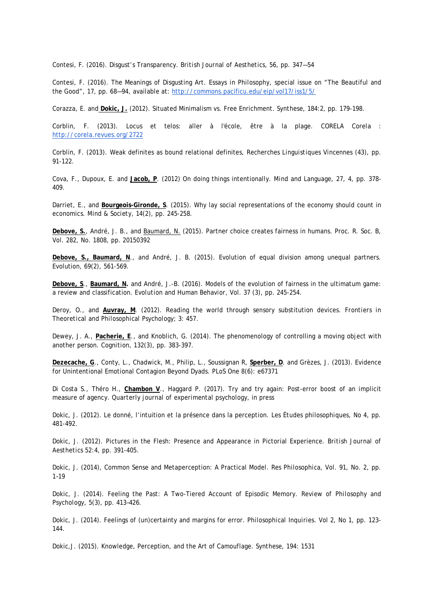Contesi, F. (2016). Disgust's Transparency. *British Journal of Aesthetics*, 56, pp. 347—54

Contesi, F. (2016). The Meanings of Disgusting Art. *Essays in Philosophy*, special issue on "The Beautiful and the Good", 17, pp. 68—94, available at:<http://commons.pacificu.edu/eip/vol17/iss1/5/>

Corazza, E. and **Dokic, J.** (2012). Situated Minimalism vs. Free Enrichment. *Synthese*, 184:2, pp. 179-198.

Corblin, F. (2013). Locus et telos: aller à l'école, être à la plage. *CORELA Corela* : <http://corela.revues.org/2722>

Corblin, F. (2013). Weak definites as bound relational definites, *Recherches Linguistiques Vincennes* (43), pp. 91-122.

Cova, F., Dupoux, E. and **Jacob, P**. (2012) On doing things intentionally. *Mind and Language*, 27, 4, pp. 378- 409.

Darriet, E., and **Bourgeois-Gironde, S**. (2015). Why lay social representations of the economy should count in economics. *Mind & Society*, 14(2), pp. 245-258.

**Debove, S.**, André, J. B., and Baumard, N. (2015). Partner choice creates fairness in humans. *Proc. R. Soc. B,*  Vol. 282, No. 1808, pp. 20150392

**Debove, S., Baumard, N**., and André, J. B. (2015). Evolution of equal division among unequal partners. Evolution, 69(2), 561-569.

**Debove, S**., **Baumard, N.** and André, J.-B. (2016). Models of the evolution of fairness in the ultimatum game: a review and classification. *Evolution and Human Behavior,* Vol. 37 (3), pp. 245-254.

Deroy, O., and **Auvray, M**. (2012). Reading the world through sensory substitution devices. *Frontiers in Theoretical and Philosophical Psychology*; 3: 457.

Dewey, J. A., **Pacherie, E**., and Knoblich, G. (2014). The phenomenology of controlling a moving object with another person. *Cognition*, 132(3), pp. 383-397.

**Dezecache, G**., Conty, L., Chadwick, M., Philip, L., Soussignan R, **Sperber, D**. and Grèzes, J. (2013). Evidence for Unintentional Emotional Contagion Beyond Dyads. *PLoS One* 8(6): e67371

Di Costa S., Théro H., **Chambon V**., Haggard P. (2017). Try and try again: Post-error boost of an implicit measure of agency. *Quarterly journal of experimental psychology*, in press

Dokic, J. (2012). Le donné, l'intuition et la présence dans la perception. *Les Études philosophiques*, No 4, pp. 481-492.

Dokic, J. (2012). Pictures in the Flesh: Presence and Appearance in Pictorial Experience. *British Journal of Aesthetics* 52:4, pp. 391-405.

Dokic, J. (2014), Common Sense and Metaperception: A Practical Model. *Res Philosophica*, Vol. 91, No. 2, pp. 1–19

Dokic, J. (2014). Feeling the Past: A Two-Tiered Account of Episodic Memory. *Review of Philosophy and Psychology*, 5(3), pp. 413–426.

Dokic, J. (2014). Feelings of (un)certainty and margins for error. *Philosophical Inquiries*. Vol 2, No 1, pp. 123- 144.

Dokic,J. (2015). Knowledge, Perception, and the Art of Camouflage. *Synthese*, 194: 1531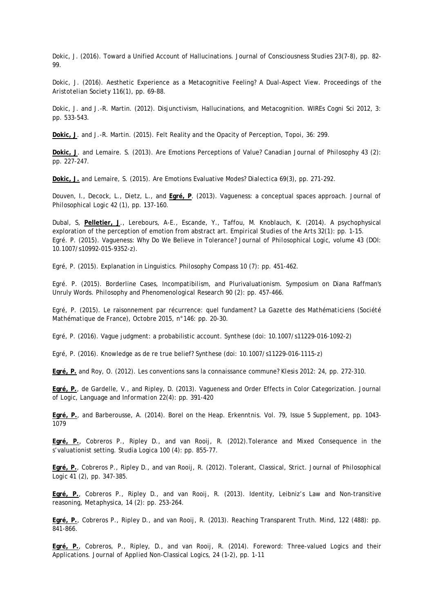Dokic, J. (2016). Toward a Unified Account of Hallucinations. *Journal of Consciousness Studies* 23(7-8), pp. 82- 99.

Dokic, J. (2016). Aesthetic Experience as a Metacognitive Feeling? A Dual-Aspect View. *Proceedings of the Aristotelian Society* 116(1), pp. 69-88.

Dokic, J. and J.-R. Martin. (2012). Disjunctivism, Hallucinations, and Metacognition. *WIREs Cogni Sci 2012*, 3: pp. 533-543.

**Dokic, J**. and J.-R. Martin. (2015). Felt Reality and the Opacity of Perception, *Topoi*, 36: 299.

**Dokic, J**. and Lemaire. S. (2013). Are Emotions Perceptions of Value? *Canadian Journal of Philosophy* 43 (2): pp. 227-247.

**Dokic, J.** and Lemaire, S. (2015). Are Emotions Evaluative Modes? *Dialectica* 69(3), pp. 271-292.

Douven, I., Decock, L., Dietz, L., and **Egré, P**. (2013). Vagueness: a conceptual spaces approach. *Journal of Philosophical Logic* 42 (1), pp. 137-160.

Dubal, S, **Pelletier, J**., Lerebours, A-E., Escande, Y., Taffou, M. Knoblauch, K. (2014). A psychophysical exploration of the perception of emotion from abstract art. *Empirical Studies of the Arts* 32(1): pp. 1-15. Egré. P. (2015). Vagueness: Why Do We Believe in Tolerance? *Journal of Philosophical Logic*, volume 43 (DOI: 10.1007/s10992-015-9352-z).

Egré, P. (2015). Explanation in Linguistics. *Philosophy Compass* 10 (7): pp. 451-462.

Egré. P. (2015). Borderline Cases, Incompatibilism, and Plurivaluationism. Symposium on Diana Raffman's Unruly Words. *Philosophy and Phenomenological Research* 90 (2): pp. 457-466.

Egré, P. (2015). Le raisonnement par récurrence: quel fundament? *La Gazette des Mathématiciens (Société Mathématique de France)*, Octobre 2015, n°146: pp. 20-30.

Egré, P. (2016). Vague judgment: a probabilistic account. *Synthese* (doi: 10.1007/s11229-016-1092-2)

Egré, P. (2016). Knowledge as de re true belief? *Synthese* (doi: 10.1007/s11229-016-1115-z)

**Egré, P.** and Roy, O. (2012). Les conventions sans la connaissance commune? *Klesis* 2012: 24, pp. 272-310.

**Egré, P.**, de Gardelle, V., and Ripley, D. (2013). Vagueness and Order Effects in Color Categorization. *Journal of Logic, Language and Information* 22(4): pp. 391-420

**Egré, P.**, and Barberousse, A. (2014). Borel on the Heap. *Erkenntnis*. Vol. 79, Issue 5 Supplement, pp. 1043- 1079

**Egré, P.**, Cobreros P., Ripley D., and van Rooij, R. (2012).Tolerance and Mixed Consequence in the s'valuationist setting. *Studia Logica* 100 (4): pp. 855-77.

**Egré, P.**, Cobreros P., Ripley D., and van Rooij, R. (2012). Tolerant, Classical, Strict. *Journal of Philosophical Logic* 41 (2), pp. 347-385.

**Egré, P.**, Cobreros P., Ripley D., and van Rooij, R. (2013). Identity, Leibniz's Law and Non-transitive reasoning, *Metaphysica*, 14 (2): pp. 253-264.

**Egré, P.**, Cobreros P., Ripley D., and van Rooij, R. (2013). Reaching Transparent Truth. *Mind*, 122 (488): pp. 841-866.

**Egré, P.**, Cobreros, P., Ripley, D., and van Rooij, R. (2014). Foreword: Three-valued Logics and their Applications. *Journal of Applied Non-Classical Logics*, 24 (1-2), pp. 1-11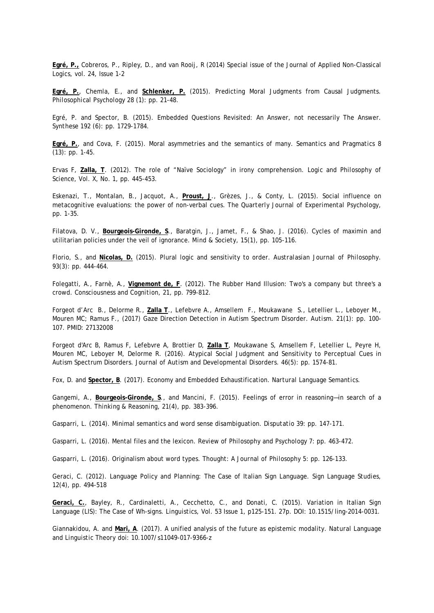**Egré, P.,** Cobreros, P., Ripley, D., and van Rooij, R (2014) Special issue of the Journal of Applied Non-Classical Logics, vol. 24, Issue 1-2

**Egré, P.**, Chemla, E., and **Schlenker, P.** (2015). Predicting Moral Judgments from Causal Judgments. *Philosophical Psychology* 28 (1): pp. 21-48.

Egré, P. and Spector, B. (2015). Embedded Questions Revisited: An Answer, not necessarily The Answer. *Synthese* 192 (6): pp. 1729-1784.

**Egré, P.**, and Cova, F. (2015). Moral asymmetries and the semantics of many. *Semantics and Pragmatics* 8 (13): pp. 1-45.

Ervas F, **Zalla, T**. (2012). The role of "Naïve Sociology" in irony comprehension. *Logic and Philosophy of Science*, Vol. X, No. 1, pp. 445-453.

Eskenazi, T., Montalan, B., Jacquot, A., **Proust, J**., Grèzes, J., & Conty, L. (2015). Social influence on metacognitive evaluations: the power of non-verbal cues. *The Quarterly Journal of Experimental Psychology*, pp. 1-35.

Filatova, D. V., **Bourgeois-Gironde, S**., Baratgin, J., Jamet, F., & Shao, J. (2016). Cycles of maximin and utilitarian policies under the veil of ignorance. *Mind & Society*, 15(1), pp. 105-116.

Florio, S., and **Nicolas, D.** (2015). Plural logic and sensitivity to order. *Australasian Journal of Philosophy*. 93(3): pp. 444-464.

Folegatti, A., Farnè, A., **Vignemont de, F**. (2012). The Rubber Hand Illusion: Two's a company but three's a crowd. *Consciousness and Cognition*, 21, pp. 799-812.

Forgeot d'Arc B., Delorme R., **Zalla T**., Lefebvre A., Amsellem F., Moukawane S., Letellier L., Leboyer M., Mouren MC; Ramus F., (2017) Gaze Direction Detection in Autism Spectrum Disorder. *Autism*. 21(1): pp. 100- 107. PMID: 27132008

Forgeot d'Arc B, Ramus F, Lefebvre A, Brottier D, **Zalla T**, Moukawane S, Amsellem F, Letellier L, Peyre H, Mouren MC, Leboyer M, Delorme R. (2016). Atypical Social Judgment and Sensitivity to Perceptual Cues in Autism Spectrum Disorders. *Journal of Autism and Developmental Disorders*. 46(5): pp. 1574-81.

Fox, D. and **Spector, B**. (2017). Economy and Embedded Exhaustification. *Nartural Language Semantics*.

Gangemi, A., **Bourgeois-Gironde, S**., and Mancini, F. (2015). Feelings of error in reasoning—in search of a phenomenon. *Thinking & Reasoning*, 21(4), pp. 383-396.

Gasparri, L. (2014). Minimal semantics and word sense disambiguation. *Disputatio* 39: pp. 147-171.

Gasparri, L. (2016). Mental files and the lexicon. *Review of Philosophy and Psychology* 7: pp. 463-472.

Gasparri, L. (2016). Originalism about word types. *Thought: A Journal of Philosophy* 5: pp. 126-133.

Geraci, C. (2012). Language Policy and Planning: The Case of Italian Sign Language. *Sign Language Studies*, 12(4), pp. 494-518

**Geraci, C.**, Bayley, R., Cardinaletti, A., Cecchetto, C., and Donati, C. (2015). Variation in Italian Sign Language (LIS): The Case of Wh-signs. *Linguistics*, Vol. 53 Issue 1, p125-151. 27p. DOI: 10.1515/ling-2014-0031.

Giannakidou, A. and **Mari, A**. (2017). A unified analysis of the future as epistemic modality. *Natural Language and Linguistic Theory* doi: 10.1007/s11049-017-9366-z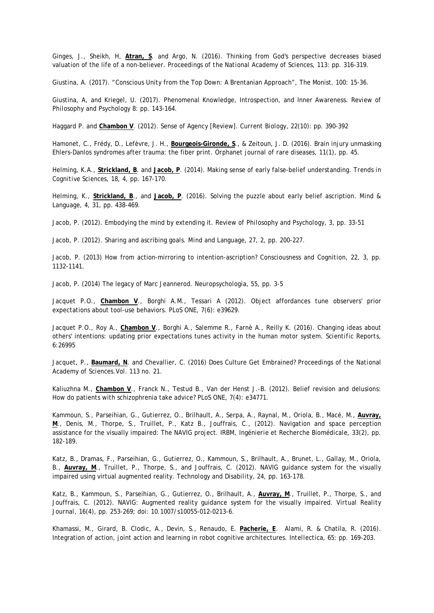Ginges, J., Sheikh, H, **Atran, S**. and Argo, N. (2016). Thinking from God's perspective decreases biased valuation of the life of a non-believer. *Proceedings of the National Academy of Sciences*, 113: pp. 316-319.

Giustina, A. (2017). "Conscious Unity from the Top Down: A Brentanian Approach", The Monist. 100: 15-36.

Giustina, A, and Kriegel, U. (2017). Phenomenal Knowledge, Introspection, and Inner Awareness. *Review of Philosophy and Psychology* 8: pp. 143-164.

Haggard P. and **Chambon V**. (2012). Sense of Agency [Review]. *Current Biology*, 22(10): pp. 390-392

Hamonet, C., Frédy, D., Lefèvre, J. H., **Bourgeois-Gironde, S**., & Zeitoun, J. D. (2016). Brain injury unmasking Ehlers-Danlos syndromes after trauma: the fiber print. *Orphanet journal of rare diseases*, 11(1), pp. 45.

Helming, K.A., **Strickland, B**. and **Jacob, P**. (2014). Making sense of early false-belief understanding. *Trends in Cognitive Sciences*, 18, 4, pp. 167-170.

Helming, K., **Strickland, B**., and **Jacob, P**. (2016). Solving the puzzle about early belief ascription*. Mind & Language*, 4, 31, pp. 438-469.

Jacob, P. (2012). Embodying the mind by extending it. *Review of Philosophy and Psychology*, 3, pp. 33-51

Jacob, P. (2012). Sharing and ascribing goals. *Mind and Language*, 27, 2, pp. 200-227.

Jacob, P. (2013) How from action-mirroring to intention-ascription? *Consciousness and Cognition*, 22, 3, pp. 1132-1141.

Jacob, P. (2014) The legacy of Marc Jeannerod. *Neuropsychologia*, 55, pp. 3-5

Jacquet P.O., **Chambon V**., Borghi A.M., Tessari A (2012). Object affordances tune observers' prior expectations about tool-use behaviors. *PLoS ONE*, 7(6): e39629.

Jacquet P.O., Roy A., **Chambon V**., Borghi A., Salemme R., Farnè A., Reilly K. (2016). Changing ideas about others' intentions: updating prior expectations tunes activity in the human motor system. *Scientific Reports*, 6:26995

Jacquet, P., **Baumard, N**. and Chevallier, C. (2016) Does Culture Get Embrained? *Proceedings of the National Academy of Sciences*.Vol. 113 no. 21.

Kaliuzhna M., **Chambon V**., Franck N., Testud B., Van der Henst J.-B. (2012). Belief revision and delusions: How do patients with schizophrenia take advice? *PLoS ONE*, 7(4): e34771.

Kammoun, S., Parseihian, G., Gutierrez, O., Brilhault, A., Serpa, A., Raynal, M., Oriola, B., Macé, M., **Auvray, M**., Denis, M., Thorpe, S., Truillet, P., Katz B., Jouffrais, C., (2012). Navigation and space perception assistance for the visually impaired: The NAVIG project. *IRBM, Ingénierie et Recherche Biomédicale*, 33(2), pp. 182-189.

Katz, B., Dramas, F., Parseihian, G., Gutierrez, O., Kammoun, S., Brilhault, A., Brunet, L., Gallay, M., Oriola, B., **Auvray, M**., Truillet, P., Thorpe, S., and Jouffrais, C. (2012). NAVIG guidance system for the visually impaired using virtual augmented reality. *Technology and Disability*, 24, pp. 163-178.

Katz, B., Kammoun, S., Parseihian, G., Gutierrez, O., Brilhault, A., **Auvray, M**., Truillet, P., Thorpe, S., and Jouffrais, C. (2012). NAVIG: Augmented reality guidance system for the visually impaired. *Virtual Reality Journal*, 16(4), pp. 253-269; doi: 10.1007/s10055-012-0213-6.

Khamassi, M., Girard, B. Clodic, A., Devin, S., Renaudo, E. **Pacherie, E**. Alami, R. & Chatila, R. (2016). Integration of action, joint action and learning in robot cognitive architectures. *Intellectica*, 65: pp. 169-203.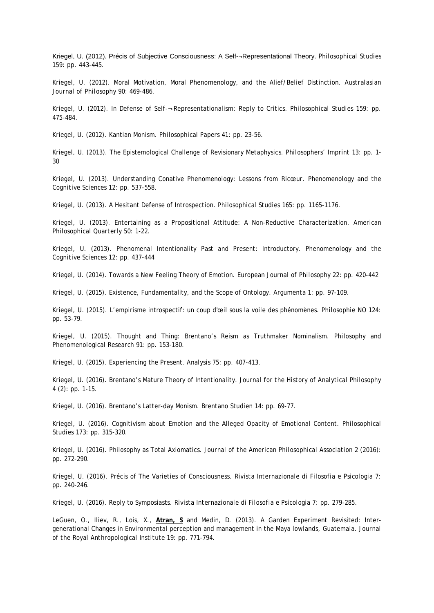Kriegel, U. (2012). Précis of Subjective Consciousness: A Self-¬Representational Theory. *Philosophical Studies* 159: pp. 443-445.

Kriegel, U. (2012). Moral Motivation, Moral Phenomenology, and the Alief/Belief Distinction. *Australasian Journal of Philosophy* 90: 469-486.

Kriegel, U. (2012). In Defense of Self-¬-Representationalism: Reply to Critics. *Philosophical Studies* 159: pp. 475-484.

Kriegel, U. (2012). Kantian Monism. *Philosophical Papers* 41: pp. 23-56.

Kriegel, U. (2013). The Epistemological Challenge of Revisionary Metaphysics. *Philosophers' Imprint* 13: pp. 1- 30

Kriegel, U. (2013). Understanding Conative Phenomenology: Lessons from Ricœur. *Phenomenology and the Cognitive Sciences* 12: pp. 537-558.

Kriegel, U. (2013). A Hesitant Defense of Introspection. *Philosophical Studies* 165: pp. 1165-1176.

Kriegel, U. (2013). Entertaining as a Propositional Attitude: A Non-Reductive Characterization. *American Philosophical Quarterly* 50: 1-22.

Kriegel, U. (2013). Phenomenal Intentionality Past and Present: Introductory. *Phenomenology and the Cognitive Sciences* 12: pp. 437-444

Kriegel, U. (2014). Towards a New Feeling Theory of Emotion. *European Journal of Philosophy* 22: pp. 420-442

Kriegel, U. (2015). Existence, Fundamentality, and the Scope of Ontology. *Argumenta* 1: pp. 97-109.

Kriegel, U. (2015). L'empirisme introspectif: un coup d'œil sous la voile des phénomènes. *Philosophie NO* 124: pp. 53-79.

Kriegel, U. (2015). Thought and Thing: Brentano's Reism as Truthmaker Nominalism. *Philosophy and Phenomenological Research* 91: pp. 153-180.

Kriegel, U. (2015). Experiencing the Present. *Analysis* 75: pp. 407-413.

Kriegel, U. (2016). Brentano's Mature Theory of Intentionality. *Journal for the History of Analytical Philosophy*  4 (2): pp. 1-15.

Kriegel, U. (2016). Brentano's Latter-day Monism. *Brentano Studien* 14: pp. 69-77.

Kriegel, U. (2016). Cognitivism about Emotion and the Alleged Opacity of Emotional Content. *Philosophical Studies* 173: pp. 315-320.

Kriegel, U. (2016). Philosophy as Total Axiomatics. *Journal of the American Philosophical Association* 2 (2016): pp. 272-290.

Kriegel, U. (2016). Précis of The Varieties of Consciousness. *Rivista Internazionale di Filosofia e Psicologia* 7: pp. 240-246.

Kriegel, U. (2016). Reply to Symposiasts. *Rivista Internazionale di Filosofia e Psicologia* 7: pp. 279-285.

LeGuen, O., Iliev, R., Lois, X., **Atran, S** and Medin, D. (2013). A Garden Experiment Revisited: Intergenerational Changes in Environmental perception and management in the Maya lowlands, Guatemala. *Journal of the Royal Anthropological Institute* 19: pp. 771-794.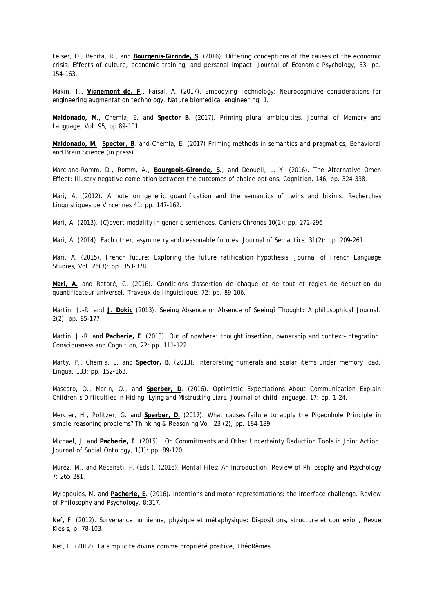Leiser, D., Benita, R., and **Bourgeois-Gironde, S**. (2016). Differing conceptions of the causes of the economic crisis: Effects of culture, economic training, and personal impact. *Journal of Economic Psychology*, 53, pp. 154-163.

Makin, T., **Vignemont de, F**., Faisal, A. (2017). Embodying Technology: Neurocognitive considerations for engineering augmentation technology. *Nature biomedical engineering*, 1.

**Maldonado, M.**, Chemla, E. and **Spector B**. (2017). Priming plural ambiguities. *Journal of Memory and Language*, Vol. 95, pp 89-101.

**Maldonado, M.**, **Spector, B**. and Chemla, E. (2017) Priming methods in semantics and pragmatics, *Behavioral and Brain Science* (in press).

Marciano-Romm, D., Romm, A., **Bourgeois-Gironde, S**., and Deouell, L. Y. (2016). The Alternative Omen Effect: Illusory negative correlation between the outcomes of choice options. *Cognition*, 146, pp. 324-338.

Mari, A. (2012). A note on generic quantification and the semantics of twins and bikinis. *Recherches Linguistiques de Vincennes* 41: pp. 147-162.

Mari, A. (2013). (C)overt modality in generic sentences. *Cahiers Chronos* 10(2): pp. 272-296

Mari, A. (2014). Each other, asymmetry and reasonable futures. *Journal of Semantics*, 31(2): pp. 209-261.

Mari, A. (2015). French future: Exploring the future ratification hypothesis. *Journal of French Language Studies*, Vol. 26(3): pp. 353-378.

**Mari, A.** and Retoré, C. (2016). Conditions d'assertion de chaque et de tout et règles de déduction du quantificateur universel. *Travaux de linguistique.* 72: pp. 89-106.

Martin, J.-R. and **J. Dokic** (2013). Seeing Absence or Absence of Seeing? *Thought: A philosophical Journal*. 2(2): pp. 85-177

Martin, J.-R. and **Pacherie, E**. (2013). Out of nowhere: thought insertion, ownership and context-integration. *Consciousness and Cognition*, 22: pp. 111-122.

Marty, P., Chemla, E. and **Spector, B**. (2013). Interpreting numerals and scalar items under memory load, *Lingua*, 133: pp. 152-163.

Mascaro, O., Morin, O., and **Sperber, D**. (2016). Optimistic Expectations About Communication Explain Children's Difficulties In Hiding, Lying and Mistrusting Liars. *Journal of child language*, 17: pp. 1-24.

Mercier, H., Politzer, G. and **Sperber, D.** (2017). What causes failure to apply the Pigeonhole Principle in simple reasoning problems? *Thinking & Reasoning* Vol. 23 (2), pp. 184-189.

Michael, J. and **Pacherie, E**. (2015). On Commitments and Other Uncertainty Reduction Tools in Joint Action. *Journal of Social Ontology*, 1(1): pp. 89-120.

Murez, M., and Recanati, F. (Eds.). (2016). Mental Files: An Introduction. *Review of Philosophy and Psychology* 7: 265-281.

Mylopoulos, M. and **Pacherie, E**. (2016). Intentions and motor representations: the interface challenge. *Review of Philosophy and Psychology,* 8:317.

Nef, F. (2012). Survenance humienne, physique et métaphysique: Dispositions, structure et connexion, *Revue Klesis*, p. 78-103.

Nef, F. (2012). La simplicité divine comme propriété positive, *ThéoRèmes*.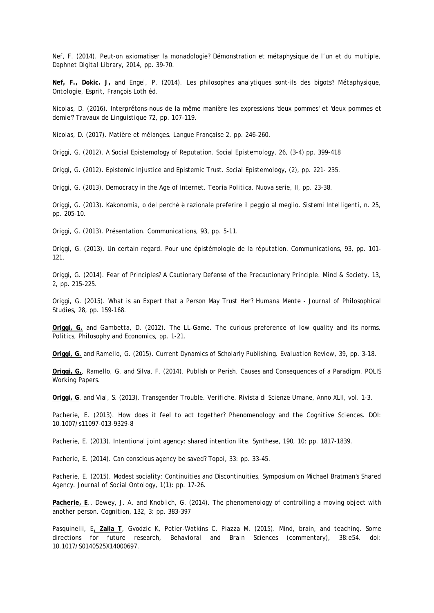Nef, F. (2014). Peut-on axiomatiser la monadologie? Démonstration et métaphysique de l'un et du multiple, *Daphnet Digital Library*, 2014, pp. 39-70.

**Nef, F., Dokic. J,** and Engel, P. (2014). Les philosophes analytiques sont-ils des bigots? *Métaphysique, Ontologie, Esprit*, François Loth éd.

Nicolas, D. (2016). Interprétons-nous de la même manière les expressions 'deux pommes' et 'deux pommes et demie'? *Travaux de Linguistique* 72, pp. 107-119.

Nicolas, D. (2017). Matière et mélanges. *Langue Française* 2, pp. 246-260.

Origgi, G. (2012). A Social Epistemology of Reputation. *Social Epistemology*, 26, (3-4) pp. 399-418

Origgi, G. (2012). Epistemic Injustice and Epistemic Trust. *Social Epistemology*, (2), pp. 221- 235.

Origgi, G. (2013). Democracy in the Age of Internet. *Teoria Politica*. Nuova serie, II, pp. 23-38.

Origgi, G. (2013). Kakonomia, o del perché è razionale preferire il peggio al meglio. *Sistemi Intelligenti*, n. 25, pp. 205-10.

Origgi, G. (2013). Présentation. *Communications*, 93, pp. 5-11.

Origgi, G. (2013). Un certain regard. Pour une épistémologie de la réputation. *Communications*, 93, pp. 101- 121.

Origgi, G. (2014). Fear of Principles? A Cautionary Defense of the Precautionary Principle. *Mind & Society*, 13, 2, pp. 215-225.

Origgi, G. (2015). What is an Expert that a Person May Trust Her? *Humana Mente - Journal of Philosophical Studie*s, 28, pp. 159-168.

**Origgi, G.** and Gambetta, D. (2012). The LL-Game. The curious preference of low quality and its norms. *Politics, Philosophy and Economics*, pp. 1-21.

**Origgi, G.** and Ramello, G. (2015). Current Dynamics of Scholarly Publishing. *Evaluation Review*, 39, pp. 3-18.

**Origgi, G.**, Ramello, G. and Silva, F. (2014). Publish or Perish. Causes and Consequences of a Paradigm. *POLIS Working Papers*.

**Origgi, G**. and Vial, S. (2013). Transgender Trouble. *Verifiche. Rivista di Scienze Umane*, Anno XLII, vol. 1-3.

Pacherie, E. (2013). How does it feel to act together? *Phenomenology and the Cognitive Sciences*. DOI: 10.1007/s11097-013-9329-8

Pacherie, E. (2013). Intentional joint agency: shared intention lite. *Synthese*, 190, 10: pp. 1817-1839.

Pacherie, E. (2014). Can conscious agency be saved? *Topoi*, 33: pp. 33-45.

Pacherie, E. (2015). Modest sociality: Continuities and Discontinuities, Symposium on Michael Bratman's Shared Agency. *Journal of Social Ontology*, 1(1): pp. 17-26.

Pacherie, E., Dewey, J. A. and Knoblich, G. (2014). The phenomenology of controlling a moving object with another person. *Cognition*, 132, 3: pp. 383-397

Pasquinelli, E**, Zalla T**, Gvodzic K, Potier-Watkins C, Piazza M. (2015). Mind, brain, and teaching. Some directions for future research, *Behavioral and Brain Sciences* (commentary), 38:e54. doi: 10.1017/S0140525X14000697.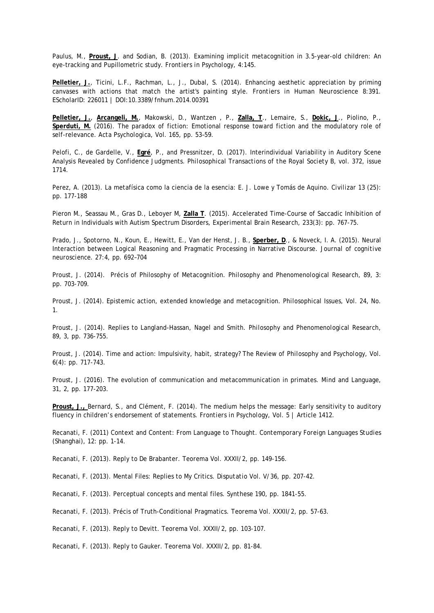Paulus, M., **Proust, J**. and Sodian, B. (2013). Examining implicit metacognition in 3.5-year-old children: An eye-tracking and Pupillometric study. *Frontiers in Psychology*, 4:145.

Pelletier, J., Ticini, L.F., Rachman, L., J., Dubal, S. (2014). Enhancing aesthetic appreciation by priming canvases with actions that match the artist's painting style. *Frontiers in Human Neuroscience* 8:391. EScholarID: 226011 | DOI:10.3389/fnhum.2014.00391

**Pelletier, J.**, **Arcangeli, M.**, Makowski, D., Wantzen , P., **Zalla, T**., Lemaire, S., **Dokic, J**., Piolino, P., **Sperduti, M.** (2016). The paradox of fiction: Emotional response toward fiction and the modulatory role of self-relevance. *Acta Psychologica*, Vol. 165, pp. 53–59.

Pelofi, C., de Gardelle, V., **Egré**, P., and Pressnitzer, D. (2017). Interindividual Variability in Auditory Scene Analysis Revealed by Confidence Judgments. *Philosophical Transactions of the Royal Society B*, vol. 372, issue 1714.

Perez, A. (2013). La metafísica como la ciencia de la esencia: E. J. Lowe y Tomás de Aquino. *Civilizar* 13 (25): pp. 177-188

Pieron M., Seassau M., Gras D., Leboyer M, **Zalla T**. (2015). Accelerated Time-Course of Saccadic Inhibition of Return in Individuals with Autism Spectrum Disorders, *Experimental Brain Research*, 233(3): pp. 767-75.

Prado, J., Spotorno, N., Koun, E., Hewitt, E., Van der Henst, J. B., **Sperber, D**., & Noveck, I. A. (2015). Neural Interaction between Logical Reasoning and Pragmatic Processing in Narrative Discourse. *Journal of cognitive neuroscience*. 27:4, pp. 692–704

Proust, J. (2014). Précis of Philosophy of Metacognition. *Philosophy and Phenomenological Research*, 89, 3: pp. 703-709.

Proust, J. (2014). Epistemic action, extended knowledge and metacognition. *Philosophical Issues*, Vol. 24, No. 1.

Proust, J. (2014). Replies to Langland-Hassan, Nagel and Smith. *Philosophy and Phenomenological Research*, 89, 3, pp. 736-755.

Proust, J. (2014). Time and action: Impulsivity, habit, strategy? *The Review of Philosophy and Psychology*, Vol. 6(4): pp. 717-743.

Proust, J. (2016). The evolution of communication and metacommunication in primates. *Mind and Language*, 31, 2, pp. 177-203.

**Proust, J.,** Bernard, S., and Clément, F. (2014). The medium helps the message: Early sensitivity to auditory fluency in children's endorsement of statements. *Frontiers in Psychology*, Vol. 5 | Article 1412.

Recanati, F. (2011) Context and Content: From Language to Thought. *Contemporary Foreign Languages Studies* (Shanghai), 12: pp. 1-14.

Recanati, F. (2013). Reply to De Brabanter. *Teorema* Vol. XXXII/2, pp. 149-156.

Recanati, F. (2013). Mental Files: Replies to My Critics. *Disputatio* Vol. V/36, pp. 207-42.

Recanati, F. (2013). Perceptual concepts and mental files. *Synthese* 190, pp. 1841-55.

Recanati, F. (2013). Précis of Truth-Conditional Pragmatics. *Teorema* Vol. XXXII/2, pp. 57-63.

Recanati, F. (2013). Reply to Devitt. *Teorema* Vol. XXXII/2, pp. 103-107.

Recanati, F. (2013). Reply to Gauker. *Teorema* Vol. XXXII/2, pp. 81-84.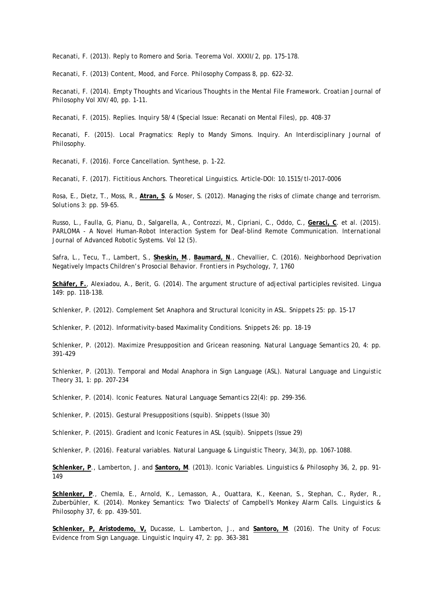Recanati, F. (2013). Reply to Romero and Soria. *Teorema* Vol. XXXII/2, pp. 175-178.

Recanati, F. (2013) Content, Mood, and Force. *Philosophy Compass* 8, pp. 622-32.

Recanati, F. (2014). Empty Thoughts and Vicarious Thoughts in the Mental File Framework. *Croatian Journal of Philosophy* Vol XIV/40, pp. 1-11.

Recanati, F. (2015). Replies. *Inquiry* 58/4 (Special Issue: Recanati on Mental Files), pp. 408-37

Recanati, F. (2015). Local Pragmatics: Reply to Mandy Simons. Inquiry. *An Interdisciplinary Journal of Philosophy*.

Recanati, F. (2016). Force Cancellation. *Synthese*, p. 1-22.

Recanati, F. (2017). Fictitious Anchors. *Theoretical Linguistics*. Article-DOI: 10.1515/tl-2017-0006

Rosa, E., Dietz, T., Moss, R., **Atran, S**. & Moser, S. (2012). Managing the risks of climate change and terrorism. *Solutions* 3: pp. 59-65.

Russo, L., Faulla, G, Pianu, D., Salgarella, A., Controzzi, M., Cipriani, C., Oddo, C., **Geraci, C**. et al. (2015). PARLOMA - A Novel Human-Robot Interaction System for Deaf-blind Remote Communication. *International Journal of Advanced Robotic Systems*. Vol 12 (5).

Safra, L., Tecu, T., Lambert, S., **Sheskin, M**., **Baumard, N**., Chevallier, C. (2016). Neighborhood Deprivation Negatively Impacts Children's Prosocial Behavior. *Frontiers in Psychology*, 7, 1760

**Schäfer, F.**, Alexiadou, A., Berit, G. (2014). The argument structure of adjectival participles revisited. *Lingua* 149: pp. 118-138.

Schlenker, P. (2012). Complement Set Anaphora and Structural Iconicity in ASL. *Snippets* 25: pp. 15-17

Schlenker, P. (2012). Informativity-based Maximality Conditions. *Snippets* 26: pp. 18-19

Schlenker, P. (2012). Maximize Presupposition and Gricean reasoning. *Natural Language Semantics* 20, 4: pp. 391-429

Schlenker, P. (2013). Temporal and Modal Anaphora in Sign Language (ASL). *Natural Language and Linguistic Theory* 31, 1: pp. 207-234

Schlenker, P. (2014). Iconic Features. *Natural Language Semantics* 22(4): pp. 299-356.

Schlenker, P. (2015). Gestural Presuppositions (squib). *Snippets* (Issue 30)

Schlenker, P. (2015). Gradient and Iconic Features in ASL (squib). *Snippets* (Issue 29)

Schlenker, P. (2016). Featural variables. *Natural Language & Linguistic Theory*, 34(3), pp. 1067-1088.

**Schlenker, P**., Lamberton, J. and **Santoro, M**. (2013). Iconic Variables. *Linguistics & Philosophy* 36, 2, pp. 91- 149

**Schlenker, P**., Chemla, E., Arnold, K., Lemasson, A., Ouattara, K., Keenan, S., Stephan, C., Ryder, R., Zuberbühler, K. (2014). Monkey Semantics: Two 'Dialects' of Campbell's Monkey Alarm Calls. *Linguistics & Philosophy* 37, 6: pp. 439-501.

**Schlenker, P, Aristodemo, V,** Ducasse, L. Lamberton, J., and **Santoro, M**. (2016). The Unity of Focus: Evidence from Sign Language. *Linguistic Inquiry* 47, 2: pp. 363-381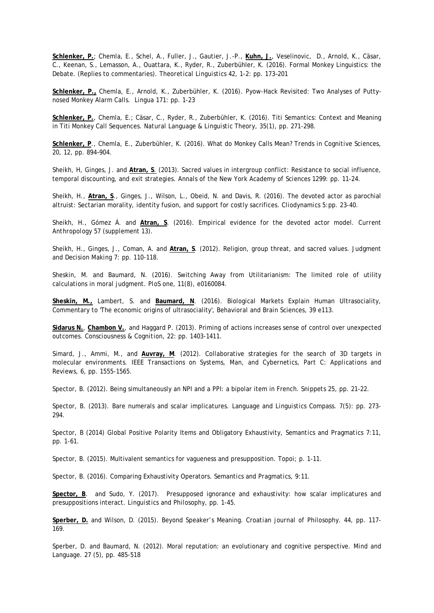**Schlenker, P.**; Chemla, E., Schel, A., Fuller, J., Gautier, J.-P., **Kuhn, J.**, Veselinovic, D., Arnold, K., Cäsar, C., Keenan, S., Lemasson, A., Ouattara, K., Ryder, R., Zuberbühler, K. (2016). Formal Monkey Linguistics: the Debate. (Replies to commentaries). *Theoretical Linguistics* 42, 1-2: pp. 173–201

**Schlenker, P.,** Chemla, E., Arnold, K., Zuberbühler, K. (2016). Pyow-Hack Revisited: Two Analyses of Puttynosed Monkey Alarm Calls. *Lingua* 171: pp. 1-23

**Schlenker, P.**, Chemla, E.; Cäsar, C., Ryder, R., Zuberbühler, K. (2016). Titi Semantics: Context and Meaning in Titi Monkey Call Sequences. *Natural Language & Linguistic Theory*, 35(1), pp. 271-298.

**Schlenker, P**., Chemla, E., Zuberbühler, K. (2016). What do Monkey Calls Mean? *Trends in Cognitive Sciences*, 20, 12, pp. 894–904.

Sheikh, H, Ginges, J. and **Atran, S**. (2013). Sacred values in intergroup conflict: Resistance to social influence, temporal discounting, and exit strategies. *Annals of the New York Academy of Sciences* 1299: pp. 11-24.

Sheikh, H., **Atran, S**., Ginges, J., Wilson, L., Obeid, N. and Davis, R. (2016). The devoted actor as parochial altruist: Sectarian morality, identity fusion, and support for costly sacrifices. *Cliodynamics* 5:pp. 23-40.

Sheikh, H., Gómez Á. and **Atran, S**. (2016). Empirical evidence for the devoted actor model. *Current Anthropology* 57 (supplement 13).

Sheikh, H., Ginges, J., Coman, A. and **Atran, S**. (2012). Religion, group threat, and sacred values. *Judgment and Decision Making* 7: pp. 110-118.

Sheskin, M. and Baumard, N. (2016). Switching Away from Utilitarianism: The limited role of utility calculations in moral judgment. *PloS one*, 11(8), e0160084.

**Sheskin, M.,** Lambert, S. and **Baumard, N**. (2016). Biological Markets Explain Human Ultrasociality, Commentary to 'The economic origins of ultrasociality', *Behavioral and Brain Sciences*, 39 e113.

**Sidarus N.**, **Chambon V.**, and Haggard P. (2013). Priming of actions increases sense of control over unexpected outcomes. *Consciousness & Cognition*, 22: pp. 1403-1411.

Simard, J., Ammi, M., and **Auvray, M**. (2012). Collaborative strategies for the search of 3D targets in molecular environments. *IEEE Transactions on Systems, Man, and Cybernetics, Part C: Applications and Reviews*, 6, pp. 1555-1565.

Spector, B. (2012). Being simultaneously an NPI and a PPI: a bipolar item in French. *Snippets* 25, pp. 21-22.

Spector, B. (2013). Bare numerals and scalar implicatures. *Language and Linguistics Compass*. 7(5): pp. 273- 294.

Spector, B (2014) Global Positive Polarity Items and Obligatory Exhaustivity, *Semantics and Pragmatics* 7:11, pp. 1-61.

Spector, B. (2015). Multivalent semantics for vagueness and presupposition. *Topoi*; p. 1-11.

Spector, B. (2016). Comparing Exhaustivity Operators. *Semantics and Pragmatics*, 9:11.

**Spector, B**. and Sudo, Y. (2017). Presupposed ignorance and exhaustivity: how scalar implicatures and presuppositions interact. *Linguistics and Philosophy*, pp. 1-45.

**Sperber, D.** and Wilson, D. (2015). Beyond Speaker's Meaning. *Croatian journal of Philosophy*. 44, pp. 117- 169.

Sperber, D. and Baumard, N. (2012). Moral reputation: an evolutionary and cognitive perspective. *Mind and Language*. 27 (5), pp. 485-518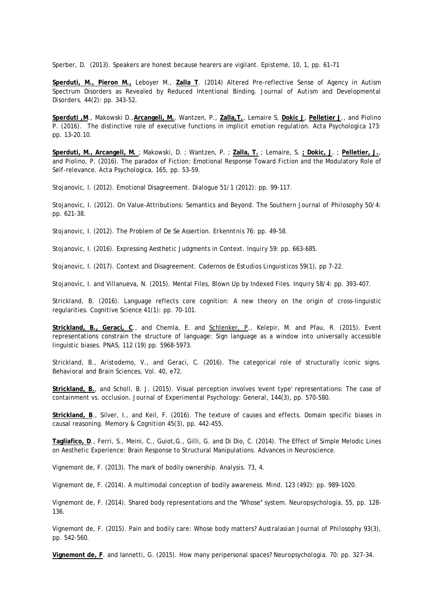Sperber, D. (2013). Speakers are honest because hearers are vigilant. *Episteme*, 10, 1, pp. 61–71

**Sperduti, M., Pieron M.,** Leboyer M., **Zalla T**. (2014) Altered Pre-reflective Sense of Agency in Autism Spectrum Disorders as Revealed by Reduced Intentional Binding. *Journal of Autism and Developmental Disorders*. 44(2): pp. 343-52.

**Sperduti ,M**., Makowski D.,**Arcangeli, M.**, Wantzen, P., **Zalla,T.**, Lemaire S, **Dokic J**, **Pelletier J**., and Piolino P. (2016). The distinctive role of executive functions in implicit emotion regulation. *Acta Psychologica* 173: pp. 13-20.10.

**Sperduti, M., Arcangeli, M.** ; Makowski, D. ; Wantzen, P. ; **Zalla, T.** ; Lemaire, S. **; Dokic, J**. ; **Pelletier, J.**, and Piolino, P. (2016). The paradox of Fiction: Emotional Response Toward Fiction and the Modulatory Role of Self-relevance. *Acta Psychologica*, 165, pp. 53–59.

Stojanovic, I. (2012). Emotional Disagreement. *Dialogue* 51/1 (2012): pp. 99-117.

Stojanovic, I. (2012). On Value-Attributions: Semantics and Beyond. *The Southern Journal of Philosophy* 50/4: pp. 621-38.

Stojanovic, I. (2012). The Problem of De Se Assertion. *Erkenntni*s 76: pp. 49-58.

Stojanovic, I. (2016). Expressing Aesthetic Judgments in Context. *Inquiry* 59: pp. 663-685.

Stojanovic, I. (2017). Context and Disagreement. *Cadernos de Estudios Linguisticos* 59(1), pp 7-22.

Stojanovic, I. and Villanueva, N. (2015). Mental Files, Blown Up by Indexed Files. *Inquiry* 58/4: pp. 393-407.

Strickland, B. (2016). Language reflects core cognition: A new theory on the origin of cross-linguistic regularities. *Cognitive Science* 41(1): pp. 70-101.

**Strickland, B., Geraci, C**., and Chemla, E. and Schlenker, P., Kelepir, M. and Pfau, R. (2015). Event representations constrain the structure of language: Sign language as a window into universally accessible linguistic biases. *PNAS*, 112 (19) pp. 5968-5973.

Strickland, B., Aristodemo, V., and Geraci, C. (2016). The categorical role of structurally iconic signs. *Behavioral and Brain Sciences*, Vol. 40, e72.

**Strickland, B.**, and Scholl, B. J. (2015). Visual perception involves 'event type' representations: The case of containment vs. occlusion. *Journal of Experimental Psychology: General*, 144(3), pp. 570-580.

**Strickland, B**., Silver, I., and Keil, F. (2016). The texture of causes and effects. Domain specific biases in causal reasoning. *Memory & Cognition* 45(3), pp. 442-455.

**Tagliafico, D**., Ferri, S., Meini, C., Guiot,G., Gilli, G. and Di Dio, C. (2014). The Effect of Simple Melodic Lines on Aesthetic Experience: Brain Response to Structural Manipulations. *Advances in Neuroscience*.

Vignemont de, F. (2013). The mark of bodily ownership. *Analysis*. 73, 4.

Vignemont de, F. (2014). A multimodal conception of bodily awareness. *Mind*. 123 (492): pp. 989-1020.

Vignemont de, F. (2014). Shared body representations and the "Whose" system. *Neuropsychologia*, 55, pp. 128- 136.

Vignemont de, F. (2015). Pain and bodily care: Whose body matters? *Australasian Journal of Philosophy* 93(3), pp. 542-560.

**Vignemont de, F**. and Iannetti, G. (2015). How many peripersonal spaces? *Neuropsychologia*. 70: pp. 327-34.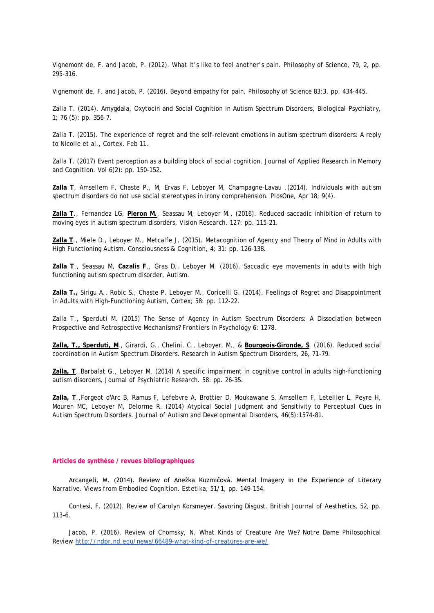Vignemont de, F. and Jacob, P. (2012). What it's like to feel another's pain. *Philosophy of Science*, 79, 2, pp. 295-316.

Vignemont de, F. and Jacob, P. (2016). Beyond empathy for pain. *Philosophy of Science* 83:3, pp. 434-445.

Zalla T. (2014). Amygdala, Oxytocin and Social Cognition in Autism Spectrum Disorders, *Biological Psychiatry*, 1; 76 (5): pp. 356-7.

Zalla T. (2015). The experience of regret and the self-relevant emotions in autism spectrum disorders: A reply to Nicolle et al., Cortex. Feb 11.

Zalla T. (2017) Event perception as a building block of social cognition. *Journal of Applied Research in Memory and Cognition*. Vol 6(2): pp. 150-152.

**Zalla T**, Amsellem F, Chaste P., M, Ervas F, Leboyer M, Champagne-Lavau .(2014). Individuals with autism spectrum disorders do not use social stereotypes in irony comprehension. *PlosOne*, Apr 18; 9(4).

**Zalla T**., Fernandez LG, **Pieron M.**, Seassau M, Leboyer M., (2016). Reduced saccadic inhibition of return to moving eyes in autism spectrum disorders, *Vision Research*. 127: pp. 115-21.

**Zalla T**., Miele D., Leboyer M., Metcalfe J. (2015). Metacognition of Agency and Theory of Mind in Adults with High Functioning Autism. *Consciousness & Cognition*, 4; 31: pp. 126-138.

**Zalla T**., Seassau M, **Cazalis F**., Gras D., Leboyer M. (2016). Saccadic eye movements in adults with high functioning autism spectrum disorder, *Autism*.

**Zalla T.,** Sirigu A., Robic S., Chaste P. Leboyer M., Coricelli G. (2014). Feelings of Regret and Disappointment in Adults with High-Functioning Autism, *Cortex*; 58: pp. 112-22.

Zalla T., Sperduti M. (2015) The Sense of Agency in Autism Spectrum Disorders: A Dissociation between Prospective and Retrospective Mechanisms*? Frontiers in Psychology* 6: 1278.

**Zalla, T., Sperduti, M**., Girardi, G., Chelini, C., Leboyer, M., & **Bourgeois-Gironde, S**. (2016). Reduced social coordination in Autism Spectrum Disorders. Research in Autism Spectrum Disorders, 26, 71-79.

**Zalla, T**.,Barbalat G., Leboyer M. (2014) A specific impairment in cognitive control in adults high-functioning autism disorders, *Journal of Psychiatric Research*. 58: pp. 26-35.

**Zalla, T**.,Forgeot d'Arc B, Ramus F, Lefebvre A, Brottier D, Moukawane S, Amsellem F, Letellier L, Peyre H, Mouren MC, Leboyer M, Delorme R. (2014) Atypical Social Judgment and Sensitivity to Perceptual Cues in Autism Spectrum Disorders. *Journal of Autism and Developmental Disorders*, 46(5):1574-81.

#### **Articles de synthèse / revues bibliographiques**

Arcangeli, M. (2014). Review of Anežka Kuzmičová. Mental Imagery in the Experience of Literary Narrative. Views from Embodied Cognition. *Estetika*, 51/1, pp. 149-154.

Contesi, F. (2012). Review of Carolyn Korsmeyer, Savoring Disgust. *British Journal of Aesthetics*, 52, pp. 113–6.

Jacob, P. (2016). Review of Chomsky, N. What Kinds of Creature Are We? *Notre Dame Philosophical Review* <http://ndpr.nd.edu/news/66489-what-kind-of-creatures-are-we/>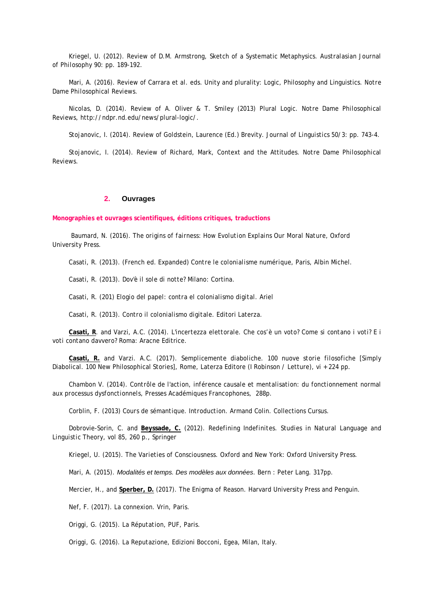Kriegel, U. (2012). Review of D.M. Armstrong, Sketch of a Systematic Metaphysics. *Australasian Journal of Philosophy* 90: pp. 189-192.

Mari, A. (2016). Review of Carrara et al. eds. Unity and plurality: Logic, Philosophy and Linguistics. *Notre Dame Philosophical Reviews*.

Nicolas, D. (2014). Review of A. Oliver & T. Smiley (2013) Plural Logic. *Notre Dame Philosophical Reviews*, http://ndpr.nd.edu/news/plural-logic/.

Stojanovic, I. (2014). Review of Goldstein, Laurence (Ed.) Brevity. *Journal of Linguistics* 50/3: pp. 743-4.

Stojanovic, I. (2014). Review of Richard, Mark, Context and the Attitudes. *Notre Dame Philosophical Reviews*.

# **2. Ouvrages**

**Monographies et ouvrages scientifiques, éditions critiques, traductions**

Baumard, N. (2016). *The origins of fairness: How Evolution Explains Our Moral Nature*, Oxford University Press.

Casati, R. (2013). (French ed. Expanded) *Contre le colonialisme numérique*, Paris, Albin Michel.

Casati, R. (2013). *Dov'è il sole di notte?* Milano: Cortina.

Casati, R. (201) *Elogio del papel: contra el colonialismo digital.* Ariel

Casati, R. (2013). *Contro il colonialismo digitale*. Editori Laterza.

**Casati, R**. and Varzi, A.C. (2014). *L'incertezza elettorale. Che cos'è un voto? Come si contano i voti? E i voti contano davvero?* Roma: Aracne Editrice.

**Casati, R.** and Varzi. A.C. (2017). *Semplicemente diaboliche. 100 nuove storie filosofiche* [Simply Diabolical. 100 New Philosophical Stories], Rome, Laterza Editore (I Robinson / Letture), vi + 224 pp.

Chambon V. (2014). *Contrôle de l'action, inférence causale et mentalisation: du fonctionnement normal aux processus dysfonctionnels*, Presses Académiques Francophones, 288p.

Corblin, F. (2013) *Cours de sémantique. Introduction*. Armand Colin. Collections Cursus.

Dobrovie-Sorin, C. and **Beyssade, C.** (2012). *Redefining Indefinites. Studies in Natural Language and Linguistic Theory*, vol 85, 260 p., Springer

Kriegel, U. (2015). *The Varieties of Consciousness*. Oxford and New York: Oxford University Press.

Mari, A. (2015). *Modalités et temps. Des modèles aux données*. Bern : Peter Lang. 317pp.

Mercier, H., and **Sperber, D.** (2017). *The Enigma of Reason*. Harvard University Press and Penguin.

Nef, F. (2017). *La connexion*. Vrin, Paris.

Origgi, G. (2015). *La Réputation*, PUF, Paris.

Origgi, G. (2016). *La Reputazione*, Edizioni Bocconi, Egea, Milan, Italy.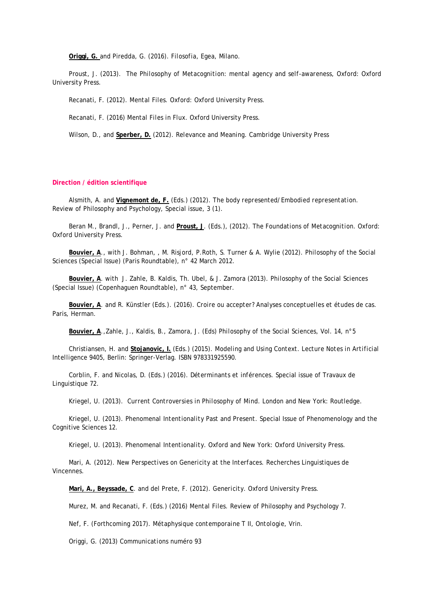**Origgi, G.** and Piredda, G. (2016). *Filosofia*, Egea, Milano.

Proust, J. (2013). *The Philosophy of Metacognition: mental agency and self-awareness*, Oxford: Oxford University Press.

Recanati, F. (2012*). Mental Files*. Oxford: Oxford University Press.

Recanati, F. (2016) *Mental Files in Flux*. Oxford University Press.

Wilson, D., and **Sperber, D.** (2012). *Relevance and Meaning*. Cambridge University Press

## **Direction / édition scientifique**

Alsmith, A. and **Vignemont de, F.** (Eds.) (2012). *The body represented/Embodied representation*. Review of Philosophy and Psychology, Special issue, 3 (1).

Beran M., Brandl, J., Perner, J. and **Proust, J**. (Eds.), (2012). *The Foundations of Metacognition*. Oxford: Oxford University Press.

**Bouvier, A**., with J. Bohman, , M. Risjord, P.Roth, S. Turner & A. Wylie (2012). *Philosophy of the Social Sciences* (Special Issue) (Paris Roundtable), n° 42 March 2012.

**Bouvier, A**. with J. Zahle, B. Kaldis, Th. Ubel, & J. Zamora (2013). *Philosophy of the Social Sciences* (Special Issue) (Copenhaguen Roundtable), n° 43, September.

**Bouvier, A**. and R. Künstler (Eds.). (2016). *Croire ou accepter? Analyses conceptuelles et études de cas*. Paris, Herman.

**Bouvier, A**.,Zahle, J., Kaldis, B., Zamora, J. (Eds) *Philosophy of the Social Sciences*, Vol. 14, n°5

Christiansen, H. and **Stojanovic, I.** (Eds.) (2015). *Modeling and Using Context. Lecture Notes in Artificial Intelligence* 9405, Berlin: Springer-Verlag. ISBN 978331925590.

Corblin, F. and Nicolas, D. (Eds.) (2016). *Déterminants et inférences*. Special issue of Travaux de Linguistique 72.

Kriegel, U. (2013). *Current Controversies in Philosophy of Mind*. London and New York: Routledge.

Kriegel, U. (2013). *Phenomenal Intentionality Past and Present*. Special Issue of Phenomenology and the Cognitive Sciences 12.

Kriegel, U. (2013). *Phenomenal Intentionality*. Oxford and New York: Oxford University Press.

Mari, A. (2012). *New Perspectives on Genericity at the Interface*s. Recherches Linguistiques de Vincennes.

**Mari, A., Beyssade, C**. and del Prete, F. (2012). *Genericity*. Oxford University Press.

Murez, M. and Recanati, F. (Eds.) (2016*) Mental Files*. Review of Philosophy and Psychology 7.

Nef, F. (Forthcoming 2017). *Métaphysique contemporaine T II, Ontologie*, Vrin.

Origgi, G. (2013) *Communications* numéro 93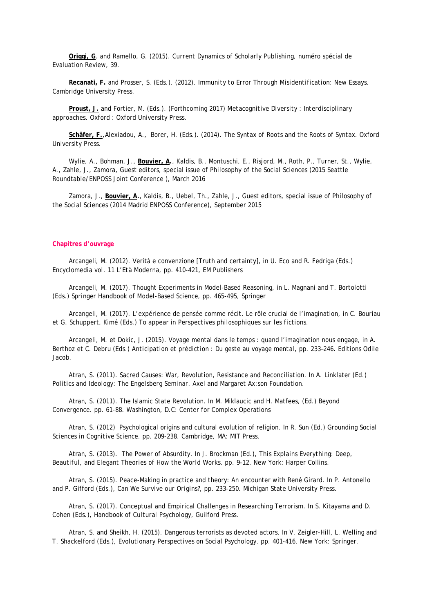**Origgi, G**. and Ramello, G. (2015). *Current Dynamics of Scholarly Publishing*, numéro spécial de Evaluation Review, 39.

**Recanati, F.** and Prosser, S. (Eds.). (2012). *Immunity to Error Through Misidentification: New Essays*. Cambridge University Press.

**Proust, J.** and Fortier, M. (Eds.). (Forthcoming 2017) *Metacognitive Diversity : Interdisciplinary approaches*. Oxford : Oxford University Press.

**Schäfer, F.**,Alexiadou, A., Borer, H. (Eds.). (2014). *The Syntax of Roots and the Roots of Syntax*. Oxford University Press.

Wylie, A., Bohman, J., **Bouvier, A.**, Kaldis, B., Montuschi, E., Risjord, M., Roth, P., Turner, St., Wylie, A., Zahle, J., Zamora, Guest editors, special issue of *Philosophy of the Social Sciences* (2015 Seattle Roundtable/ENPOSS Joint Conference ), March 2016

Zamora, J., **Bouvier, A.**, Kaldis, B., Uebel, Th., Zahle, J., Guest editors, special issue of *Philosophy of the Social Science*s (2014 Madrid ENPOSS Conference), September 2015

#### **Chapitres d'ouvrage**

Arcangeli, M. (2012). Verità e convenzione [Truth and certainty], in U. Eco and R. Fedriga (Eds.) *Encyclomedia vol. 11 L'Età Moderna*, pp. 410-421, EM Publishers

Arcangeli, M. (2017). Thought Experiments in Model-Based Reasoning, in L. Magnani and T. Bortolotti (Eds.) *Springer Handbook of Model-Based Science*, pp. 465-495, Springer

Arcangeli, M. (2017). L'expérience de pensée comme récit. Le rôle crucial de l'imagination, in C. Bouriau et G. Schuppert, Kimé (Eds.) To appear in *Perspectives philosophiques sur les fictions*.

Arcangeli, M. et Dokic, J. (2015). Voyage mental dans le temps : quand l'imagination nous engage, in A. Berthoz et C. Debru (Eds.) *Anticipation et prédiction : Du geste au voyage mental*, pp. 233–246. Editions Odile Jacob.

Atran, S. (2011). Sacred Causes: War, Revolution, Resistance and Reconciliation. In A. Linklater (Ed.) *Politics and Ideology: The Engelsberg Seminar*. Axel and Margaret Ax:son Foundation.

Atran, S. (2011). The Islamic State Revolution. In M. Miklaucic and H. Matfees, (Ed.) *Beyond Convergence*. pp. 61-88. Washington, D.C: Center for Complex Operations

Atran, S. (2012) Psychological origins and cultural evolution of religion. In R. Sun (Ed.) *Grounding Social Sciences in Cognitive Science*. pp. 209-238. Cambridge, MA: MIT Press.

Atran, S. (2013). The Power of Absurdity. In J. Brockman (Ed.), *This Explains Everything: Deep, Beautiful, and Elegant Theories of How the World Works*. pp. 9-12. New York: Harper Collins.

Atran, S. (2015). Peace-Making in practice and theory: An encounter with René Girard. In P. Antonello and P. Gifford (Eds.), *Can We Survive our Origins?*, pp. 233-250. Michigan State University Press.

Atran, S. (2017). Conceptual and Empirical Challenges in Researching Terrorism. In S. Kitayama and D. Cohen (Eds.), *Handbook of Cultural Psychology*, Guilford Press.

Atran, S. and Sheikh, H. (2015). Dangerous terrorists as devoted actors. In V. Zeigler-Hill, L. Welling and T. Shackelford (Eds.), *Evolutionary Perspectives on Social Psychology*. pp. 401-416. New York: Springer.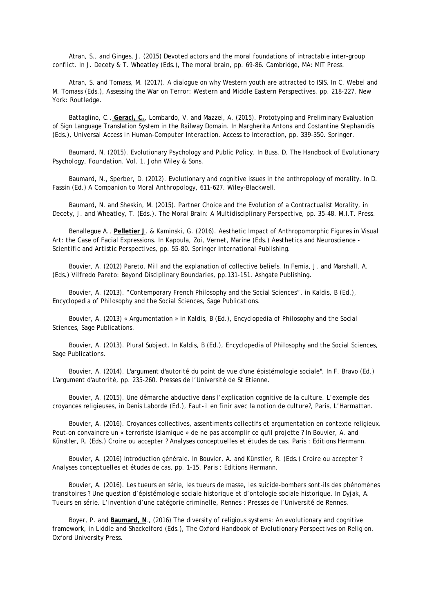Atran, S., and Ginges, J. (2015) Devoted actors and the moral foundations of intractable inter-group conflict. In J. Decety & T. Wheatley (Eds.), *The moral brain*, pp. 69-86. Cambridge, MA: MIT Press.

Atran, S. and Tomass, M. (2017). A dialogue on why Western youth are attracted to ISIS. In C. Webel and M. Tomass (Eds.), *Assessing the War on Terror: Western and Middle Eastern Perspectives*. pp. 218-227. New York: Routledge.

Battaglino, C., **Geraci, C.**, Lombardo, V. and Mazzei, A. (2015). Prototyping and Preliminary Evaluation of Sign Language Translation System in the Railway Domain. In Margherita Antona and Costantine Stephanidis (Eds.), *Universal Access in Human-Computer Interaction. Access to Interaction*, pp. 339–350. Springer.

Baumard, N. (2015). Evolutionary Psychology and Public Policy. In Buss, D. *The Handbook of Evolutionary Psychology, Foundation. Vol. 1*. John Wiley & Sons.

Baumard, N., Sperber, D. (2012). Evolutionary and cognitive issues in the anthropology of morality. In D. Fassin (Ed.) *A Companion to Moral Anthropology*, 611-627. Wiley-Blackwell.

Baumard, N. and Sheskin, M. (2015). Partner Choice and the Evolution of a Contractualist Morality, in Decety, J. and Wheatley, T. (Eds.), *The Moral Brain: A Multidisciplinary Perspective*, pp. 35-48. M.I.T. Press.

Benallegue A., **Pelletier J**. & Kaminski, G. (2016). Aesthetic Impact of Anthropomorphic Figures in Visual Art: the Case of Facial Expressions. In Kapoula, Zoi, Vernet, Marine (Eds.) *Aesthetics and Neuroscience - Scientific and Artistic Perspectives*, pp. 55-80. Springer International Publishing.

Bouvier, A. (2012) Pareto, Mill and the explanation of collective beliefs. In Femia, J. and Marshall, A. (Eds.) *Vilfredo Pareto: Beyond Disciplinary Boundaries*, pp.131-151. Ashgate Publishing.

Bouvier, A. (2013). "Contemporary French Philosophy and the Social Sciences", in Kaldis, B (Ed.), *Encyclopedia of Philosophy and the Social Sciences*, Sage Publications.

Bouvier, A. (2013) « Argumentation » in Kaldis, B (Ed.), *Encyclopedia of Philosophy and the Social Sciences*, Sage Publications.

Bouvier, A. (2013). Plural Subject. In Kaldis, B (Ed.), *Encyclopedia of Philosophy and the Social Sciences*, Sage Publications.

Bouvier, A. (2014). L'argument d'autorité du point de vue d'une épistémologie sociale". In F. Bravo (Ed.) *L'argument d'autorité*, pp. 235-260. Presses de l'Université de St Etienne.

Bouvier, A. (2015). Une démarche abductive dans l'explication cognitive de la culture. L'exemple des croyances religieuses, in Denis Laborde (Ed.), *Faut-il en finir avec la notion de culture?,* Paris, L'Harmattan.

Bouvier, A. (2016). Croyances collectives, assentiments collectifs et argumentation en contexte religieux. Peut-on convaincre un « terroriste islamique » de ne pas accomplir ce qu'il projette ? In Bouvier, A. and Künstler, R. (Eds.) *Croire ou accepter ? Analyses conceptuelles et études de cas*. Paris : Editions Hermann.

Bouvier, A. (2016) Introduction générale. In Bouvier, A. and Künstler, R. (Eds.) *Croire ou accepter ? Analyses conceptuelles et études de cas*, pp. 1-15. Paris : Editions Hermann.

Bouvier, A. (2016). Les tueurs en série, les tueurs de masse, les suicide-bombers sont-ils des phénomènes transitoires ? Une question d'épistémologie sociale historique et d'ontologie sociale historique. In Dyjak, A. *Tueurs en série. L'invention d'une catégorie criminelle*, Rennes : Presses de l'Université de Rennes.

Boyer, P. and **Baumard, N**., (2016) The diversity of religious systems: An evolutionary and cognitive framework, in Liddle and Shackelford (Eds.), *The Oxford Handbook of Evolutionary Perspectives on Religion*. Oxford University Press.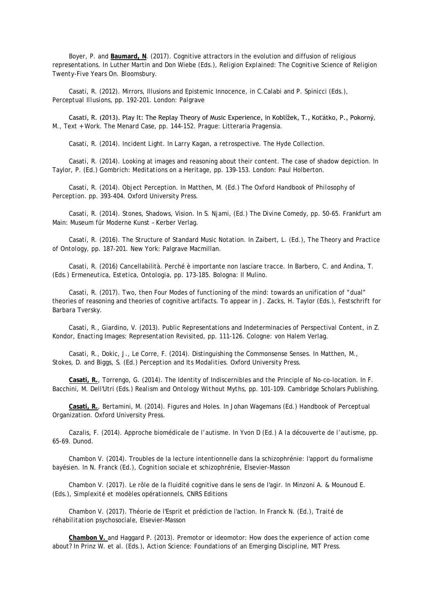Boyer, P. and **Baumard, N**. (2017). Cognitive attractors in the evolution and diffusion of religious representations. In Luther Martin and Don Wiebe (Eds.), *Religion Explained: The Cognitive Science of Religion Twenty-Five Years On.* Bloomsbury.

Casati, R. (2012). Mirrors, Illusions and Epistemic Innocence, in C.Calabi and P. Spinicci (Eds*.), Perceptual Illusions*, pp. 192-201. London: Palgrave

Casati, R. (2013). Play It: The Replay Theory of Music Experience, in Koblížek, T., Koťátko, P., Pokorný, M., *Text + Work. The Menard Case*, pp. 144-152. Prague: Litteraria Pragensia.

Casati, R. (2014). Incident Light. In *Larry Kagan, a retrospective*. The Hyde Collection.

Casati, R. (2014). Looking at images and reasoning about their content. The case of shadow depiction. In Taylor, P. (Ed.) *Gombrich: Meditations on a Heritage*, pp. 139-153. London: Paul Holberton.

Casati, R. (2014). Object Perception. In Matthen, M. (Ed.) *The Oxford Handbook of Philosophy of Perception*. pp. 393-404. Oxford University Press.

Casati, R. (2014). Stones, Shadows, Vision. In S. Njami, (Ed.) *The Divine Comedy*, pp. 50-65. Frankfurt am Main: Museum für Moderne Kunst – Kerber Verlag.

Casati, R. (2016). The Structure of Standard Music Notation. In Zaibert, L. (Ed.), *The Theory and Practice of Ontology*, pp. 187-201. New York: Palgrave Macmillan.

Casati, R. (2016) Cancellabilità. Perché è importante non lasciare tracce. In Barbero, C. and Andina, T. (Eds.) *Ermeneutica, Estetica, Ontologia*, pp. 173-185. Bologna: Il Mulino.

Casati, R. (2017). Two, then Four Modes of functioning of the mind: towards an unification of "dual" theories of reasoning and theories of cognitive artifacts. To appear in J. Zacks, H. Taylor (Eds.), *Festschrift for Barbara Tversky*.

Casati, R., Giardino, V. (2013). Public Representations and Indeterminacies of Perspectival Content, in Z. Kondor, *Enacting Images: Representation Revisited*, pp. 111-126. Cologne: von Halem Verlag.

Casati, R., Dokic, J., Le Corre, F. (2014). Distinguishing the Commonsense Senses. In Matthen, M., Stokes, D. and Biggs, S. (Ed.) *Perception and Its Modalities*. Oxford University Press.

**Casati, R.**, Torrengo, G. (2014). The Identity of Indiscernibles and the Principle of No-co-location. In F. Bacchini, M. Dell'Utri (Eds.) *Realism and Ontology Without Myths*, pp. 101-109. Cambridge Scholars Publishing.

**Casati, R.**, Bertamini, M. (2014). Figures and Holes. In Johan Wagemans (Ed.) *Handbook of Perceptual Organization*. Oxford University Press.

Cazalis, F. (2014). Approche biomédicale de l'autisme. In Yvon D (Ed.) *A la découverte de l'autisme*, pp. 65-69. Dunod.

Chambon V. (2014). Troubles de la lecture intentionnelle dans la schizophrénie: l'apport du formalisme bayésien. In N. Franck (Ed.), *Cognition sociale et schizophrénie*, Elsevier-Masson

Chambon V. (2017). Le rôle de la fluidité cognitive dans le sens de l'agir. In Minzoni A. & Mounoud E. (Eds.), *Simplexité et modèles opérationnels*, CNRS Editions

Chambon V. (2017). Théorie de l'Esprit et prédiction de l'action. In Franck N. (Ed.), *Traité de réhabilitation psychosociale*, Elsevier-Masson

**Chambon V.** and Haggard P. (2013). Premotor or ideomotor: How does the experience of action come about? In Prinz W. et al. (Eds.), *Action Science: Foundations of an Emerging Discipline*, MIT Press.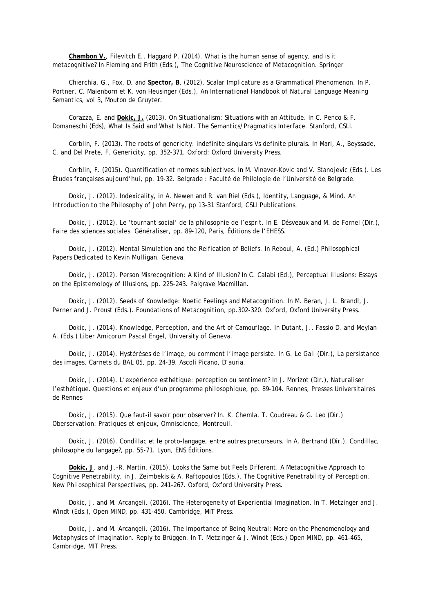**Chambon V.**, Filevitch E., Haggard P. (2014). What is the human sense of agency, and is it metacognitive? In Fleming and Frith (Eds.), *The Cognitive Neuroscience of Metacognition*. Springer

Chierchia, G., Fox, D. and **Spector, B**. (2012). Scalar Implicature as a Grammatical Phenomenon. In P. Portner, C. Maienborn et K. von Heusinger (Eds.), *An International Handbook of Natural Language Meaning Semantics, vol 3*, Mouton de Gruyter.

Corazza, E. and **Dokic, J.** (2013). On Situationalism: Situations with an Attitude. In C. Penco & F. Domaneschi (Eds), *What Is Said and What Is Not. The Semantics/Pragmatics Interface*. Stanford, CSLI.

Corblin, F. (2013). The roots of genericity: indefinite singulars Vs definite plurals. In Mari, A., Beyssade, C. and Del Prete, F. *Genericity,* pp. 352-371. Oxford: Oxford University Press.

Corblin, F. (2015). Quantification et normes subjectives. In M. Vinaver-Kovic and V. Stanojevic (Eds.). *Les Études françaises aujourd'hui*, pp. 19-32. Belgrade : Faculté de Philologie de l'Université de Belgrade.

Dokic, J. (2012). Indexicality, in A. Newen and R. van Riel (Eds.), *Identity, Language, & Mind. An Introduction to the Philosophy of John Perry*, pp 13-31 Stanford, CSLI Publications.

Dokic, J. (2012). Le 'tournant social' de la philosophie de l'esprit. In E. Désveaux and M. de Fornel (Dir.), *Faire des sciences sociales. Généraliser*, pp. 89-120, Paris, Éditions de l'EHESS.

Dokic, J. (2012). Mental Simulation and the Reification of Beliefs. In Reboul, A. (Ed.) *Philosophical Papers Dedicated to Kevin Mulligan*. Geneva.

Dokic, J. (2012). Person Misrecognition: A Kind of Illusion? In C. Calabi (Ed.), *Perceptual Illusions: Essays on the Epistemology of Illusions*, pp. 225-243. Palgrave Macmillan.

Dokic, J. (2012). Seeds of Knowledge: Noetic Feelings and Metacognition. In M. Beran, J. L. Brandl, J. Perner and J. Proust (Eds.). *Foundations of Metacognition*, pp.302-320. Oxford, Oxford University Press.

Dokic, J. (2014). Knowledge, Perception, and the Art of Camouflage. In Dutant, J., Fassio D. and Meylan A. (Eds.) *Liber Amicorum Pascal Engel*, University of Geneva.

Dokic, J. (2014). Hystérèses de l'image, ou comment l'image persiste. In G. Le Gall (Dir.), *La persistance des images, Carnets du BAL 05*, pp. 24-39. Ascoli Picano, D'auria.

Dokic, J. (2014). L'expérience esthétique: perception ou sentiment? In J. Morizot (Dir.), *Naturaliser l'esthétique. Questions et enjeux d'un programme philosophique*, pp. 89-104. Rennes, Presses Universitaires de Rennes

Dokic, J. (2015). Que faut-il savoir pour observer? In. K. Chemla, T. Coudreau & G. Leo (Dir.) *Oberservation: Pratiques et enjeux*, Omniscience, Montreuil.

Dokic, J. (2016). Condillac et le proto-langage, entre autres precurseurs. In A. Bertrand (Dir.), *Condillac, philosophe du langage?,* pp. 55-71. Lyon, ENS Éditions.

**Dokic, J**. and J.-R. Martin. (2015). Looks the Same but Feels Different. A Metacognitive Approach to Cognitive Penetrability, in J. Zeimbekis & A. Raftopoulos (Eds.), *The Cognitive Penetrability of Perception. New Philosophical Perspectives*, pp. 241-267. Oxford, Oxford University Press.

Dokic, J. and M. Arcangeli. (2016). The Heterogeneity of Experiential Imagination. In T. Metzinger and J. Windt (Eds.), *Open MIND*, pp. 431-450. Cambridge, MIT Press.

Dokic, J. and M. Arcangeli. (2016). The Importance of Being Neutral: More on the Phenomenology and Metaphysics of Imagination. Reply to Brüggen. In T. Metzinger & J. Windt (Eds.) *Open MIND*, pp. 461-465, Cambridge, MIT Press.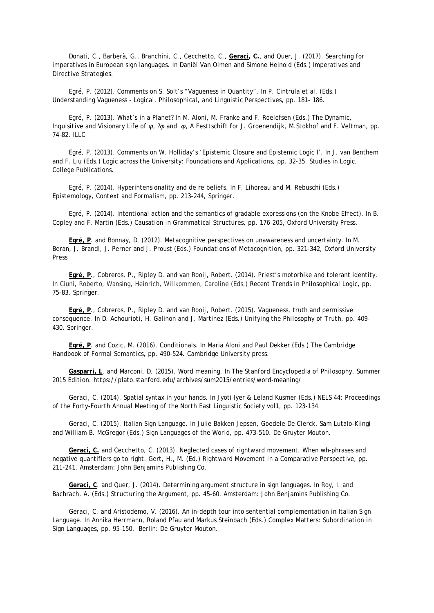Donati, C., Barberà, G., Branchini, C., Cecchetto, C., **Geraci, C.**, and Quer, J. (2017). Searching for imperatives in European sign languages. In Daniël Van Olmen and Simone Heinold (Eds.) *Imperatives and Directive Strategies*.

Egré, P. (2012). Comments on S. Solt's "Vagueness in Quantity". In P. Cintrula et al. (Eds.) *Understanding Vagueness - Logical, Philosophical, and Linguistic Perspectives*, pp. 181- 186.

Egré, P. (2013). What's in a Planet? In M. Aloni, M. Franke and F. Roelofsen (Eds.) *The Dynamic, Inquisitive and Visionary Life of φ, ?φ and φ*, *A Festtschift for J. Groenendijk, M.Stokhof and F. Veltman*, pp. 74–82. ILLC

Egré, P. (2013). Comments on W. Holliday's 'Epistemic Closure and Epistemic Logic I'. In J. van Benthem and F. Liu (Eds.) *Logic across the University: Foundations and Applications*, pp. 32-35. Studies in Logic, College Publications.

Egré, P. (2014). Hyperintensionality and de re beliefs. In F. Lihoreau and M. Rebuschi (Eds.) *Epistemology, Context and Formalism*, pp. 213-244, Springer.

Egré, P. (2014). Intentional action and the semantics of gradable expressions (on the Knobe Effect). In B. Copley and F. Martin (Eds.) *Causation in Grammatical Structures*, pp. 176–205, Oxford University Press.

**Egré, P**. and Bonnay, D. (2012). Metacognitive perspectives on unawareness and uncertainty. In M. Beran, J. Brandl, J. Perner and J. Proust (Eds.) *Foundations of Metacognition*, pp. 321-342, Oxford University Press

**Egré, P**., Cobreros, P., Ripley D. and van Rooij, Robert. (2014). Priest's motorbike and tolerant identity. In Ciuni, Roberto, Wansing, Heinrich, Willkommen, Caroline (Eds.) *Recent Trends in Philosophical Logic*, pp. 75-83. Springer.

**Egré, P**., Cobreros, P., Ripley D. and van Rooij, Robert. (2015). Vagueness, truth and permissive consequence. In D. Achourioti, H. Galinon and J. Martinez (Eds.) *Unifying the Philosophy of Truth*, pp. 409- 430. Springer.

**Egré, P**. and Cozic, M. (2016). Conditionals. In Maria Aloni and Paul Dekker (Eds.) *The Cambridge Handbook of Formal Semantics*, pp. 490–524. Cambridge University press.

**Gasparri, L**. and Marconi, D. (2015). Word meaning. In *The Stanford Encyclopedia of Philosophy, Summer 2015 Edition*. https://plato.stanford.edu/archives/sum2015/entries/word-meaning/

Geraci, C. (2014). Spatial syntax in your hands. In Jyoti Iyer & Leland Kusmer (Eds.) *NELS 44: Proceedings of the Forty-Fourth Annual Meeting of the North East Linguistic Society vol1,* pp. 123-134.

Geraci, C. (2015). Italian Sign Language. In Julie Bakken Jepsen, Goedele De Clerck, Sam Lutalo-Kiingi and William B. McGregor (Eds.) *Sign Languages of the World*, pp. 473-510. De Gruyter Mouton.

**Geraci, C.** and Cecchetto, C. (2013). Neglected cases of rightward movement. When wh-phrases and negative quantifiers go to right. Gert, H., M. (Ed.) *Rightward Movement in a Comparative Perspective*, pp. 211-241. Amsterdam: John Benjamins Publishing Co.

**Geraci, C**. and Quer, J. (2014). Determining argument structure in sign languages. In Roy, I. and Bachrach, A. (Eds.) *Structuring the Argument*, pp. 45-60. Amsterdam: John Benjamins Publishing Co.

Geraci, C. and Aristodemo, V. (2016). An in-depth tour into sentential complementation in Italian Sign Language. In Annika Herrmann, Roland Pfau and Markus Steinbach (Eds.) *Complex Matters: Subordination in Sign Languages*, pp. 95–150. Berlin: De Gruyter Mouton.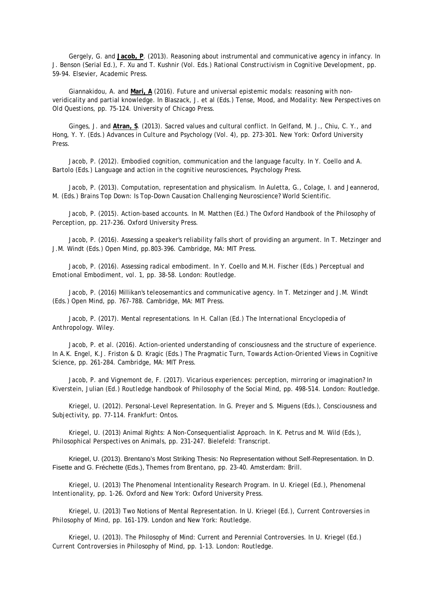Gergely, G. and **Jacob, P**. (2013). Reasoning about instrumental and communicative agency in infancy. In J. Benson (Serial Ed.), F. Xu and T. Kushnir (Vol. Eds.) *Rational Constructivism in Cognitive Development*, pp. 59-94. Elsevier, Academic Press.

Giannakidou, A. and **Mari, A** (2016). Future and universal epistemic modals: reasoning with nonveridicality and partial knowledge. In Blaszack, J. et al (Eds.) *Tense, Mood, and Modality: New Perspectives on Old Questions*, pp. 75-124. University of Chicago Press.

Ginges, J. and **Atran, S**. (2013). Sacred values and cultural conflict. In Gelfand, M. J., Chiu, C. Y., and Hong, Y. Y. (Eds.) *Advances in Culture and Psychology (Vol. 4)*, pp. 273-301. New York: Oxford University Press.

Jacob, P. (2012). Embodied cognition, communication and the language faculty. In Y. Coello and A. Bartolo (Eds.) *Language and action in the cognitive neurosciences*, Psychology Press.

Jacob, P. (2013). Computation, representation and physicalism. In Auletta, G., Colage, I. and Jeannerod, M. (Eds.) *Brains Top Down: Is Top-Down Causation Challenging Neuroscience?* World Scientific.

Jacob, P. (2015). Action-based accounts. In M. Matthen (Ed.) *The Oxford Handbook of the Philosophy of Perception*, pp. 217-236. Oxford University Press.

Jacob, P. (2016). Assessing a speaker's reliability falls short of providing an argument. In T. Metzinger and J.M. Windt (Eds*.) Open Mind*, pp.803-396. Cambridge, MA: MIT Press.

Jacob, P. (2016). Assessing radical embodiment. In Y. Coello and M.H. Fischer (Eds.) *Perceptual and Emotional Embodiment, vol. 1*, pp. 38-58. London: Routledge.

Jacob, P. (2016) Millikan's teleosemantics and communicative agency. In T. Metzinger and J.M. Windt (Eds.) *Open Mind*, pp. 767-788. Cambridge, MA: MIT Press.

Jacob, P. (2017). Mental representations. In H. Callan (Ed.) *The International Encyclopedia of Anthropology*. Wiley.

Jacob, P. et al. (2016). Action-oriented understanding of consciousness and the structure of experience. In A.K. Engel, K.J. Friston & D. Kragic (Eds.) *The Pragmatic Turn, Towards Action-Oriented Views in Cognitive Science*, pp. 261-284. Cambridge, MA: MIT Press.

Jacob, P. and Vignemont de, F. (2017). Vicarious experiences: perception, mirroring or imagination? In Kiverstein, Julian (Ed.) *Routledge handbook of Philosophy of the Social Mind*, pp. 498-514. London: Routledge.

Kriegel, U. (2012). Personal-Level Representation. In G. Preyer and S. Miguens (Eds.), *Consciousness and Subjectivity*, pp. 77-114. Frankfurt: Ontos.

Kriegel, U. (2013) Animal Rights: A Non-Consequentialist Approach. In K. Petrus and M. Wild (Eds.), *Philosophical Perspectives on Animals*, pp. 231-247. Bielefeld: Transcript.

Kriegel, U. (2013). Brentano's Most Striking Thesis: No Representation without Self-Representation. In D. Fisette and G. Fréchette (Eds.), *Themes from Brentano*, pp. 23-40. Amsterdam: Brill.

Kriegel, U. (2013) The Phenomenal Intentionality Research Program. In U. Kriegel (Ed.), *Phenomenal Intentionality*, pp. 1-26. Oxford and New York: Oxford University Press.

Kriegel, U. (2013) Two Notions of Mental Representation. In U. Kriegel (Ed.), *Current Controversies in Philosophy of Mind*, pp. 161-179. London and New York: Routledge.

Kriegel, U. (2013). The Philosophy of Mind: Current and Perennial Controversies. In U. Kriegel (Ed.) *Current Controversies in Philosophy of Mind*, pp. 1-13. London: Routledge.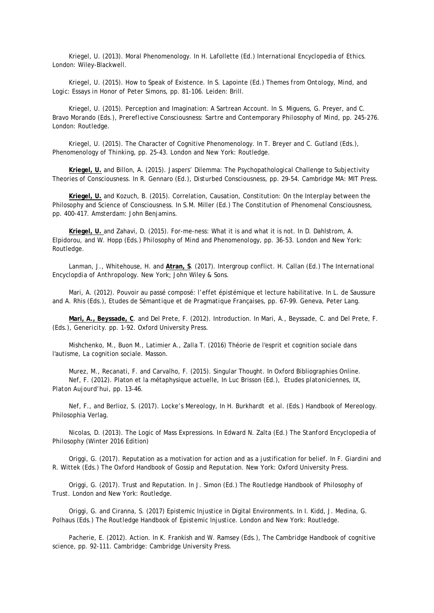Kriegel, U. (2013). Moral Phenomenology. In H. Lafollette (Ed.) *International Encyclopedia of Ethics*. London: Wiley-Blackwell.

Kriegel, U. (2015). How to Speak of Existence. In S. Lapointe (Ed.) *Themes from Ontology, Mind, and Logic: Essays in Honor of Peter Simons*, pp. 81-106. Leiden: Brill.

Kriegel, U. (2015). Perception and Imagination: A Sartrean Account. In S. Miguens, G. Preyer, and C. Bravo Morando (Eds.), *Prereflective Consciousness: Sartre and Contemporary Philosophy of Mind*, pp. 245-276. London: Routledge.

Kriegel, U. (2015). The Character of Cognitive Phenomenology. In T. Breyer and C. Gutland (Eds.), *Phenomenology of Thinking*, pp. 25-43. London and New York: Routledge.

**Kriegel, U.** and Billon, A. (2015). Jaspers' Dilemma: The Psychopathological Challenge to Subjectivity Theories of Consciousness. In R. Gennaro (Ed.), *Disturbed Consciousness*, pp. 29-54. Cambridge MA: MIT Press.

**Kriegel, U.** and Kozuch, B. (2015). Correlation, Causation, Constitution: On the Interplay between the Philosophy and Science of Consciousness. In S.M. Miller (Ed.) The Constitution of Phenomenal Consciousness, pp. 400-417. Amsterdam: John Benjamins.

**Kriegel, U.** and Zahavi, D. (2015). For-me-ness: What it is and what it is not. In D. Dahlstrom, A. Elpidorou, and W. Hopp (Eds.) *Philosophy of Mind and Phenomenology*, pp. 36-53. London and New York: Routledge.

Lanman, J., Whitehouse, H. and **Atran, S**. (2017). Intergroup conflict. H. Callan (Ed.) *The International Encyclopdia of Anthropology*. New York; John Wiley & Sons.

Mari, A. (2012). Pouvoir au passé composé: l'effet épistémique et lecture habilitative. In L. de Saussure and A. Rhis (Eds.), *Etudes de Sémantique et de Pragmatique Françaises*, pp. 67-99. Geneva, Peter Lang.

**Mari, A., Beyssade, C**. and Del Prete, F. (2012). Introduction. In Mari, A., Beyssade, C. and Del Prete, F. (Eds.), *Genericity*. pp. 1-92. Oxford University Press.

Mishchenko, M., Buon M., Latimier A., Zalla T. (2016) Théorie de l'esprit et cognition sociale dans l'autisme, La cognition sociale. Masson.

Murez, M., Recanati, F. and Carvalho, F. (2015). Singular Thought. In Oxford Bibliographies Online. Nef, F. (2012). Platon et la métaphysique actuelle, In Luc Brisson (Ed.), *Etudes platoniciennes, IX, Platon Aujourd'hui*, pp. 13-46.

Nef, F., and Berlioz, S. (2017). Locke's Mereology, In H. Burkhardt et al. (Eds.) *Handbook of Mereology*. Philosophia Verlag.

Nicolas, D. (2013). The Logic of Mass Expressions. In Edward N. Zalta (Ed.) *The Stanford Encyclopedia of Philosophy* (Winter 2016 Edition)

Origgi, G. (2017). Reputation as a motivation for action and as a justification for belief. In F. Giardini and R. Wittek (Eds.) *The Oxford Handbook of Gossip and Reputation*. New York: Oxford University Press.

Origgi, G. (2017). Trust and Reputation. In J. Simon (Ed.) *The Routledge Handbook of Philosophy of Trust*. London and New York: Routledge.

Origgi, G. and Ciranna, S. (2017) Epistemic Injustice in Digital Environments. In I. Kidd, J. Medina, G. Polhaus (Eds.) *The Routledge Handbook of Epistemic Injustice*. London and New York: Routledge.

Pacherie, E. (2012). Action. In K. Frankish and W. Ramsey (Eds.), *The Cambridge Handbook of cognitive science*, pp. 92-111. Cambridge: Cambridge University Press.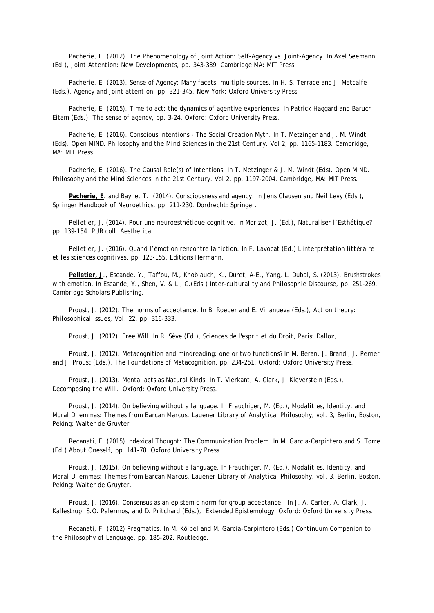Pacherie, E. (2012). The Phenomenology of Joint Action: Self-Agency vs. Joint-Agency. In Axel Seemann (Ed.), *Joint Attention: New Developments*, pp. 343-389. Cambridge MA: MIT Press.

Pacherie, E. (2013). Sense of Agency: Many facets, multiple sources. In H. S. Terrace and J. Metcalfe (Eds.), *Agency and joint attention*, pp. 321-345. New York: Oxford University Press.

Pacherie, E. (2015). Time to act: the dynamics of agentive experiences. In Patrick Haggard and Baruch Eitam (Eds.), *The sense of agency*, pp. 3-24. Oxford: Oxford University Press.

Pacherie, E. (2016). Conscious Intentions - The Social Creation Myth. In T. Metzinger and J. M. Windt (Eds). *Open MIND. Philosophy and the Mind Sciences in the 21st Century. Vol 2*, pp. 1165-1183. Cambridge, MA: MIT Press.

Pacherie, E. (2016). The Causal Role(s) of Intentions. In T. Metzinger & J. M. Windt (Eds). *Open MIND.*  Philosophy and the Mind Sciences in the 21st Century. Vol 2, pp. 1197-2004. Cambridge, MA: MIT Press.

**Pacherie, E**. and Bayne, T. (2014). Consciousness and agency. In Jens Clausen and Neil Levy (Eds.), *Springer Handbook of Neuroethics*, pp. 211-230. Dordrecht: Springer.

Pelletier, J. (2014). Pour une neuroesthétique cognitive. In Morizot, J. (Ed.), *Naturaliser l'Esthétique?* pp. 139-154. PUR coll. Aesthetica.

Pelletier, J. (2016). Quand l'émotion rencontre la fiction. In F. Lavocat (Ed.) *L'interprétation littéraire et les sciences cognitives,* pp. 123-155. Editions Hermann.

**Pelletier, J**., Escande, Y., Taffou, M., Knoblauch, K., Duret, A-E., Yang, L. Dubal, S. (2013). Brushstrokes with emotion. In Escande, Y., Shen, V. & Li, C.(Eds.) *Inter-culturality and Philosophie Discourse*, pp. 251-269. Cambridge Scholars Publishing.

Proust, J. (2012). The norms of acceptance. In B. Roeber and E. Villanueva (Eds.), *Action theory: Philosophical Issues, Vol. 22*, pp. 316-333.

Proust, J. (2012). Free Will. In R. Sève (Ed*.), Sciences de l'esprit et du Droit*, Paris: Dalloz,

Proust, J. (2012). Metacognition and mindreading: one or two functions? In M. Beran, J. Brandl, J. Perner and J. Proust (Eds.), *The Foundations of Metacognition*, pp. 234-251. Oxford: Oxford University Press.

Proust, J. (2013). Mental acts as Natural Kinds. In T. Vierkant, A. Clark, J. Kieverstein (Eds.), *Decomposing the Will*. Oxford: Oxford University Press.

Proust, J. (2014). On believing without a language. In Frauchiger, M. (Ed.), *Modalities, Identity, and Moral Dilemmas: Themes from Barcan Marcus, Lauener Library of Analytical Philosophy, vol. 3*, Berlin, Boston, Peking: Walter de Gruyter

Recanati, F. (2015) Indexical Thought: The Communication Problem. In M. Garcia-Carpintero and S. Torre (Ed.) *About Oneself*, pp. 141-78. Oxford University Press.

Proust, J. (2015). On believing without a language. In Frauchiger, M. (Ed.), *Modalities, Identity, and Moral Dilemmas: Themes from Barcan Marcus, Lauener Library of Analytical Philosophy, vol. 3*, Berlin, Boston, Peking: Walter de Gruyter.

Proust, J. (2016). Consensus as an epistemic norm for group acceptance. In J. A. Carter, A. Clark, J. Kallestrup, S.O. Palermos, and D. Pritchard (Eds.), *Extended Epistemology*. Oxford: Oxford University Press.

Recanati, F. (2012) Pragmatics. In M. Kölbel and M. Garcia-Carpintero (Eds.) *Continuum Companion to the Philosophy of Language*, pp. 185-202. Routledge.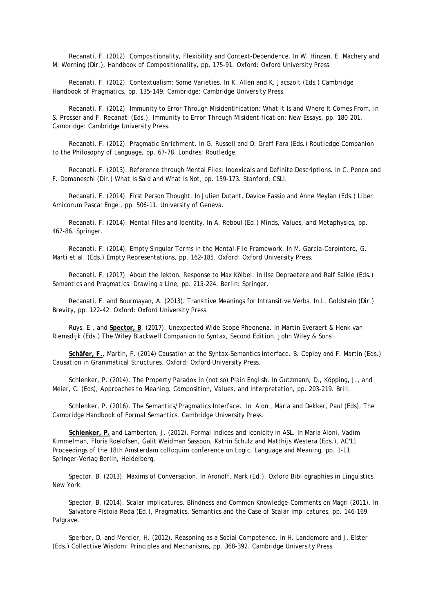Recanati, F. (2012). Compositionality, Flexibility and Context-Dependence. In W. Hinzen, E. Machery and M. Werning (Dir*.), Handbook of Compositionality*, pp. 175-91. Oxford: Oxford University Press.

Recanati, F. (2012). Contextualism: Some Varieties. In K. Allen and K. Jacszolt (Eds.) *Cambridge Handbook of Pragmatics*, pp. 135-149. Cambridge: Cambridge University Press.

Recanati, F. (2012). Immunity to Error Through Misidentification: What It Is and Where It Comes From. In S. Prosser and F. Recanati (Eds.), *Immunity to Error Through Misidentification: New Essays*, pp. 180-201. Cambridge: Cambridge University Press.

Recanati, F. (2012). Pragmatic Enrichment. In G. Russell and D. Graff Fara (Eds*.) Routledge Companion to the Philosophy of Language*, pp. 67-78. Londres: Routledge.

Recanati, F. (2013). Reference through Mental Files: Indexicals and Definite Descriptions. In C. Penco and F. Domaneschi (Dir*.) What Is Said and What Is Not*, pp. 159-173. Stanford: CSLI.

Recanati, F. (2014). First Person Thought. In Julien Dutant, Davide Fassio and Anne Meylan (Eds.) *Liber Amicorum Pascal Engel*, pp. 506-11. University of Geneva.

Recanati, F. (2014). Mental Files and Identity. In A. Reboul (Ed.) *Minds, Values, and Metaphysics*, pp. 467-86. Springer.

Recanati, F. (2014). Empty Singular Terms in the Mental-File Framework. In M. Garcia-Carpintero, G. Marti et al. (Eds.) *Empty Representations*, pp. 162-185. Oxford: Oxford University Press.

Recanati, F. (2017). About the lekton. Response to Max Kölbel. In Ilse Depraetere and Ralf Salkie (Eds.) *Semantics and Pragmatics: Drawing a Line*, pp. 215-224. Berlin: Springer.

Recanati, F. and Bourmayan, A. (2013). Transitive Meanings for Intransitive Verbs. In L. Goldstein (Dir.) *Brevity*, pp. 122-42. Oxford: Oxford University Press.

Ruys, E., and **Spector, B**. (2017). Unexpected Wide Scope Pheonena. In Martin Everaert & Henk van Riemsdijk (Eds.) *The Wiley Blackwell Companion to Syntax, Second Edition*. John Wiley & Sons

**Schäfer, F.**, Martin, F. (2014) Causation at the Syntax-Semantics Interface. B. Copley and F. Martin (Eds.) *Causation in Grammatical Structures*. Oxford: Oxford University Press.

Schlenker, P. (2014). The Property Paradox in (not so) Plain English. In Gutzmann, D., Köpping, J., and Meier, C. (Eds), *Approaches to Meaning. Composition, Values, and Interpretation*, pp. 203-219. Brill.

Schlenker, P. (2016). The Semantics/Pragmatics Interface. In Aloni, Maria and Dekker, Paul (Eds), *The Cambridge Handbook of Formal Semantics*. Cambridge University Press.

**Schlenker, P.** and Lamberton, J. (2012). Formal Indices and Iconicity in ASL. In Maria Aloni, Vadim Kimmelman, Floris Roelofsen, Galit Weidman Sassoon, Katrin Schulz and Matthijs Westera (Eds.), *AC'11 Proceedings of the 18th Amsterdam colloquim conference on Logic, Language and Meaning*, pp. 1-11. Springer-Verlag Berlin, Heidelberg.

Spector, B. (2013). Maxims of Conversation. In Aronoff, Mark (Ed.), *Oxford Bibliographies in Linguistics*. New York.

Spector, B. (2014). Scalar Implicatures, Blindness and Common Knowledge-Comments on Magri (2011). In Salvatore Pistoia Reda (Ed.), *Pragmatics, Semantics and the Case of Scalar Implicatures*, pp. 146-169. Palgrave.

Sperber, D. and Mercier, H. (2012). Reasoning as a Social Competence. In H. Landemore and J. Elster (Eds.) *Collective Wisdom: Principles and Mechanisms*, pp. 368-392. Cambridge University Press.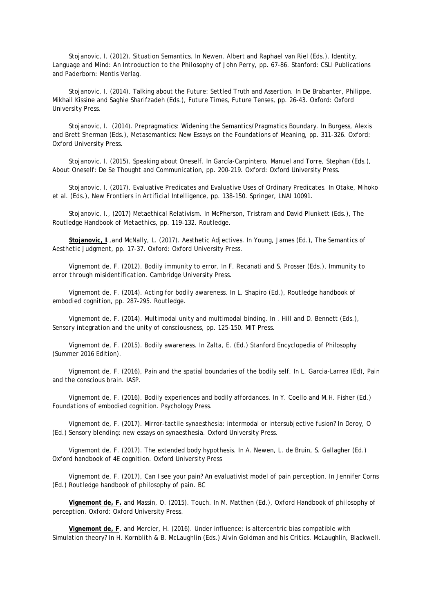Stojanovic, I. (2012). Situation Semantics. In Newen, Albert and Raphael van Riel (Eds.), *Identity, Language and Mind: An Introduction to the Philosophy of John Perry*, pp. 67-86. Stanford: CSLI Publications and Paderborn: Mentis Verlag.

Stojanovic, I. (2014). Talking about the Future: Settled Truth and Assertion. In De Brabanter, Philippe. Mikhail Kissine and Saghie Sharifzadeh (Eds.), *Future Times, Future Tenses*, pp. 26-43. Oxford: Oxford University Press.

Stojanovic, I. (2014). Prepragmatics: Widening the Semantics/Pragmatics Boundary. In Burgess, Alexis and Brett Sherman (Eds.), *Metasemantics: New Essays on the Foundations of Meaning*, pp. 311-326. Oxford: Oxford University Press.

Stojanovic, I. (2015). Speaking about Oneself. In García-Carpintero, Manuel and Torre, Stephan (Eds.), *About Oneself: De Se Thought and Communication*, pp. 200-219. Oxford: Oxford University Press.

Stojanovic, I. (2017). Evaluative Predicates and Evaluative Uses of Ordinary Predicates. In Otake, Mihoko et al. (Eds*.), New Frontiers in Artificial Intelligence*, pp. 138-150. Springer, LNAI 10091.

Stojanovic, I., (2017) Metaethical Relativism. In McPherson, Tristram and David Plunkett (Eds.), *The Routledge Handbook of Metaethics*, pp. 119-132. Routledge.

**Stojanovic, I**.,and McNally, L. (2017). Aesthetic Adjectives. In Young, James (Ed.), *The Semantics of Aesthetic Judgment,* pp. 17-37. Oxford: Oxford University Press.

Vignemont de, F. (2012). Bodily immunity to error. In F. Recanati and S. Prosser (Eds.), *Immunity to error through misidentification*. Cambridge University Press.

Vignemont de, F. (2014). Acting for bodily awareness. In L. Shapiro (Ed.), *Routledge handbook of embodied cognition*, pp. 287-295. Routledge.

Vignemont de, F. (2014). Multimodal unity and multimodal binding. In . Hill and D. Bennett (Eds.), *Sensory integration and the unity of consciousness*, pp. 125-150. MIT Press.

Vignemont de, F. (2015). Bodily awareness. In Zalta, E. (Ed.) Stanford Encyclopedia of Philosophy (Summer 2016 Edition).

Vignemont de, F. (2016), Pain and the spatial boundaries of the bodily self. In L. Garcia-Larrea (Ed), *Pain and the conscious brain*. IASP.

Vignemont de, F. (2016). Bodily experiences and bodily affordances. In Y. Coello and M.H. Fisher (Ed.) *Foundations of embodied cognition*. Psychology Press.

Vignemont de, F. (2017). Mirror-tactile synaesthesia: intermodal or intersubjective fusion? In Deroy, O (Ed.) *Sensory blending: new essays on synaesthesia*. Oxford University Press.

Vignemont de, F. (2017). The extended body hypothesis. In A. Newen, L. de Bruin, S. Gallagher (Ed.) *Oxford handbook of 4E cognition*. Oxford University Press

Vignemont de, F. (2017), Can I see your pain? An evaluativist model of pain perception. In Jennifer Corns (Ed.) *Routledge handbook of philosophy of pain*. BC

**Vignemont de, F.** and Massin, O. (2015). Touch. In M. Matthen (Ed.), *Oxford Handbook of philosophy of perception*. Oxford: Oxford University Press.

**Vignemont de, F**. and Mercier, H. (2016). Under influence: is altercentric bias compatible with Simulation theory? In H. Kornblith & B. McLaughlin (Eds.) *Alvin Goldman and his Critics*. McLaughlin, Blackwell.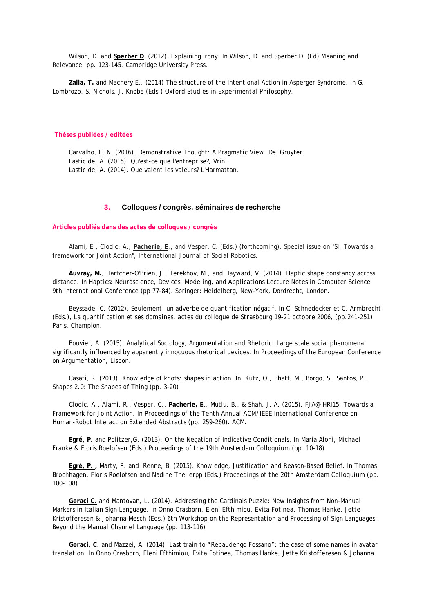Wilson, D. and **Sperber D**. (2012). Explaining irony. In Wilson, D. and Sperber D. (Ed) *Meaning and Relevance*, pp. 123-145. Cambridge University Press.

**Zalla, T.** and Machery E.. (2014) The structure of the Intentional Action in Asperger Syndrome. In G. Lombrozo, S. Nichols, J. Knobe (Eds.) *Oxford Studies in Experimental Philosophy*.

#### **Thèses publiées / éditées**

Carvalho, F. N. (2016). *Demonstrative Thought: A Pragmatic View*. De Gruyter. Lastic de, A. (2015). *Qu'est-ce que l'entreprise?*, Vrin. Lastic de, A. (2014). *Que valent les valeurs?* L'Harmattan.

## **3. Colloques / congrès, séminaires de recherche**

### **Articles publiés dans des actes de colloques / congrès**

Alami, E., Clodic, A., **Pacherie, E**., and Vesper, C. (Eds.) (forthcoming). Special issue on "SI: Towards a framework for Joint Action*", International Journal of Social Robotics*.

**Auvray, M.**, Hartcher-O'Brien, J., Terekhov, M., and Hayward, V. (2014). Haptic shape constancy across distance. In *Haptics: Neuroscience, Devices, Modeling, and Applications Lecture Notes in Computer Science 9th International Conference* (pp 77-84). Springer: Heidelberg, New-York, Dordrecht, London.

Beyssade, C. (2012). Seulement: un adverbe de quantification négatif. In C. Schnedecker et C. Armbrecht (Eds.), *La quantification et ses domaines, actes du colloque de Strasbourg 19-21 octobre 2006*, (pp.241-251) Paris, Champion.

Bouvier, A. (2015). Analytical Sociology, Argumentation and Rhetoric. Large scale social phenomena significantly influenced by apparently innocuous rhetorical devices. In *Proceedings of the European Conference on Argumentation*, Lisbon.

Casati, R. (2013). Knowledge of knots: shapes in action. In. Kutz, O., Bhatt, M., Borgo, S., Santos, P., *Shapes 2.0: The Shapes of Thing* (pp. 3-20)

Clodic, A., Alami, R., Vesper, C., **Pacherie, E**., Mutlu, B., & Shah, J. A. (2015). FJA@ HRI15: Towards a Framework for Joint Action. In *Proceedings of the Tenth Annual ACM/IEEE International Conference on Human-Robot Interaction Extended Abstracts* (pp. 259-260). ACM.

**Egré, P.** and Politzer,G. (2013). On the Negation of Indicative Conditionals. In Maria Aloni, Michael Franke & Floris Roelofsen (Eds.) *Proceedings of the 19th Amsterdam Colloquium* (pp. 10-18)

**Egré, P. ,** Marty, P. and Renne, B. (2015). Knowledge, Justification and Reason-Based Belief. In Thomas Brochhagen, Floris Roelofsen and Nadine Theilerpp (Eds.) *Proceedings of the 20th Amsterdam Colloquium* (pp. 100-108)

**Geraci C.** and Mantovan, L. (2014). Addressing the Cardinals Puzzle: New Insights from Non-Manual Markers in Italian Sign Language. In Onno Crasborn, Eleni Efthimiou, Evita Fotinea, Thomas Hanke, Jette Kristofferesen & Johanna Mesch (Eds.) *6th Workshop on the Representation and Processing of Sign Languages: Beyond the Manual Channel Language* (pp. 113-116)

**Geraci, C**. and Mazzei, A. (2014). Last train to "Rebaudengo Fossano": the case of some names in avatar translation. In Onno Crasborn, Eleni Efthimiou, Evita Fotinea, Thomas Hanke, Jette Kristofferesen & Johanna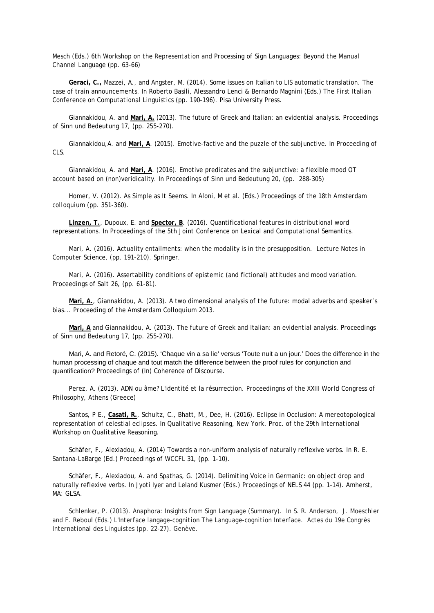Mesch (Eds.) *6th Workshop on the Representation and Processing of Sign Languages: Beyond the Manual Channel Language* (pp. 63-66)

**Geraci, C.,** Mazzei, A., and Angster, M. (2014). Some issues on Italian to LIS automatic translation. The case of train announcements. In Roberto Basili, Alessandro Lenci & Bernardo Magnini (Eds.) *The First Italian Conference on Computational Linguistics* (pp. 190-196). Pisa University Press.

Giannakidou, A. and **Mari, A.** (2013). The future of Greek and Italian: an evidential analysis. *Proceedings of Sinn und Bedeutung 17*, (pp. 255-270).

Giannakidou,A. and **Mari, A**. (2015). Emotive-factive and the puzzle of the subjunctive. In *Proceeding of CLS*.

Giannakidou, A. and **Mari, A**. (2016). Emotive predicates and the subjunctive: a flexible mood OT account based on (non)veridicality. In *Proceedings of Sinn und Bedeutung 20*, (pp. 288-305)

Homer, V. (2012). As Simple as It Seems. In Aloni, M et al. (Eds.) *Proceedings of the 18th Amsterdam colloquium* (pp. 351-360).

**Linzen, T.**, Dupoux, E. and **Spector, B**. (2016). Quantificational features in distributional word representations. In *Proceedings of the 5th Joint Conference on Lexical and Computational Semantics*.

Mari, A. (2016). Actuality entailments: when the modality is in the presupposition. *Lecture Notes in Computer Science*, (pp. 191-210). Springer.

Mari, A. (2016). Assertability conditions of epistemic (and fictional) attitudes and mood variation. *Proceedings of Salt 26*, (pp. 61-81).

**Mari, A.**, Giannakidou, A. (2013). A two dimensional analysis of the future: modal adverbs and speaker's bias... *Proceeding of the Amsterdam Colloquium 2013*.

**Mari, A** and Giannakidou, A. (2013). The future of Greek and Italian: an evidential analysis. *Proceedings of Sinn und Bedeutung 17*, (pp. 255-270).

Mari, A. and Retoré, C. (2015). 'Chaque vin a sa lie' versus 'Toute nuit a un jour.' Does the difference in the human processing of chaque and tout match the difference between the proof rules for conjunction and quantification? *Proceedings of (In) Coherence of Discourse*.

Perez, A. (2013). ADN ou âme? L'identité et la résurrection. *Proceedingns of the XXIII World Congress of Philosophy*, Athens (Greece)

Santos, P E., **Casati, R.**, Schultz, C., Bhatt, M., Dee, H. (2016). Eclipse in Occlusion: A mereotopological representation of celestial eclipses. In *Qualitative Reasoning, New York. Proc. of the 29th International Workshop on Qualitative Reasoning*.

Schäfer, F., Alexiadou, A. (2014) Towards a non-uniform analysis of naturally reflexive verbs. In R. E. Santana-LaBarge (Ed.) *Proceedings of WCCFL 31*, (pp. 1-10).

Schäfer, F., Alexiadou, A. and Spathas, G. (2014). Delimiting Voice in Germanic: on object drop and naturally reflexive verbs. In Jyoti Iyer and Leland Kusmer (Eds.) *Proceedings of NELS 44* (pp. 1-14). Amherst, MA: GLSA.

Schlenker, P. (2013). Anaphora: Insights from Sign Language (Summary). In S. R. Anderson, J. Moeschler and F. Reboul (Eds.) *L'Interface langage-cognition The Language-cognition Interface. Actes du 19e Congrès International des Linguistes* (pp. 22-27). Genève.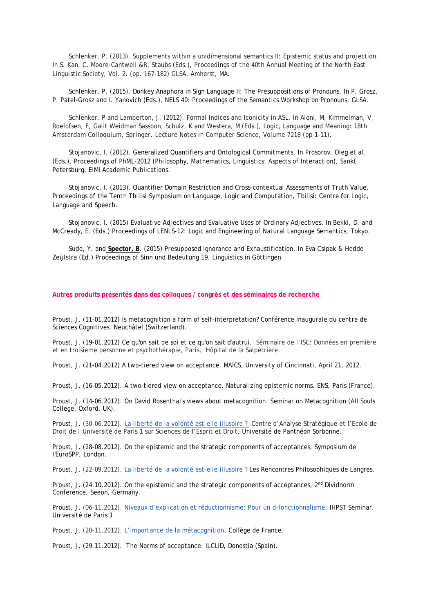Schlenker, P. (2013). Supplements within a unidimensional semantics II: Epistemic status and projection. In S. Kan, C. Moore-Cantwell &R. Staubs (Eds.), *Proceedings of the 40th Annual Meeting of the North East Linguistic Society, Vol. 2*. (pp. 167-182) GLSA. Amherst, MA.

Schlenker, P. (2015). Donkey Anaphora in Sign Language II: The Presuppositions of Pronouns. In P. Grosz, P. Patel-Grosz and I. Yanovich (Eds.), *NELS 40: Proceedings of the Semantics Workshop on Pronouns*, GLSA.

Schlenker, P and Lamberton, J. (2012). Formal Indices and Iconicity in ASL. In Aloni, M, Kimmelman, V, Roelofsen, F, Galit Weidman Sassoon, Schulz, K and Westera, M (Eds.), *Logic, Language and Meaning: 18th Amsterdam Colloquium, Springer. Lecture Notes in Computer Science, Volume 7218* (pp 1-11).

Stojanovic, I. (2012). Generalized Quantifiers and Ontological Commitments. In Prosorov, Oleg et al. (Eds.), *Proceedings of PhML-2012 (Philosophy, Mathematics, Linguistics: Aspects of Interaction)*, Sankt Petersburg: EIMI Academic Publications.

Stojanovic, I. (2013). Quantifier Domain Restriction and Cross-contextual Assessments of Truth Value, *Proceedings of the Tenth Tbilisi Symposium on Language, Logic and Computation*, Tbilisi: Centre for Logic, Language and Speech.

Stojanovic, I. (2015) Evaluative Adjectives and Evaluative Uses of Ordinary Adjectives. In Bekki, D. and McCready, E. (Eds.) *Proceedings of LENLS-12: Logic and Engineering of Natural Language Semantics*, Tokyo.

Sudo, Y. and **Spector, B**. (2015) Presupposed Ignorance and Exhaustification. In Eva Csipak & Hedde Zeijlstra (Ed.) *Proceedings of Sinn und Bedeutung 19*. Linguistics in Göttingen.

#### **Autres produits présentés dans des colloques / congrès et des séminaires de recherche**

Proust, J. (11-01.2012) Is metacognition a form of self-interpretation? *Conférence Inaugurale du centre de Sciences Cognitives.* Neuchâtel (Switzerland).

Proust, J. (19-01.2012) Ce qu'on sait de soi et ce qu'on sait d'autrui. Séminaire de l'ISC: Données en première et en troisième personne et psychothérapie, Paris, Hôpital de la Salpétrière.

Proust, J. (21-04.2012) A two-tiered view on acceptance. MAICS, University of Cincinnati, April 21, 2012.

Proust, J. (16-05.2012). A two-tiered view on acceptance. *Naturalizing epistemic norms.* ENS, Paris (France).

Proust, J. (14-06.2012). On David Rosenthal's views about metacognition. Seminar on Metacognition (All Souls College, Oxford, UK).

Proust, J. (30-06.2012). [La liberté de la volonté est-elle illusoire ?](http://joelleproust.org/wp-content/uploads/2012/09/liberte2012.pdf) Centre d'Analyse Stratégique et l'Ecole de Droit de l'Université de Paris 1 sur Sciences de l'Esprit et Droit, Université de Panthéon Sorbonne.

Proust, J. (28-08.2012). On the epistemic and the strategic components of acceptances, Symposium de l'EuroSPP, London.

Proust, J. (22-09.2012). [La liberté de la volonté est-elle illusoire ? L](http://joelleproust.org/wp-content/uploads/2012/09/liberte2012.pdf)es Rencontres Philosophiques de Langres.

Proust, J. (24.10.2012). On the epistemic and the strategic components of acceptances, 2<sup>nd</sup> Dividnorm Conference, Seeon, Germany.

Proust, J. (06-11.2012). [Niveaux d'explication et réductionnisme: Pour un d-fonctionnalisme,](http://joelleproust.org/wp-content/uploads/2012/09/IHPSTProustrev20121.pdf) IHPST Seminar. Université de Paris 1

Proust, J. (20-11.2012). [L'importance de la métacognition,](http://joelleproust.org/wp-content/uploads/2012/09/ImportanceMC_CollFrance20121.ppt) Collège de France.

Proust, J. (29.11.2012). The Norms of acceptance. ILCLID, Donostia (Spain).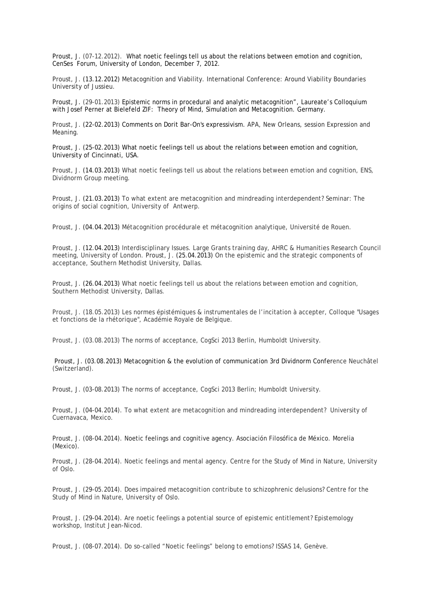Proust, J. (07-12.2012). What noetic feelings tell us about the relations between emotion and cognition, CenSes Forum, University of London, December 7, 2012.

Proust, J. (13.12.2012) Metacognition and Viability. International Conference: Around Viability Boundaries University of Jussieu.

Proust, J. (29-01.2013) Epistemic norms in procedural and analytic metacognition", Laureate's Colloquium with Josef Perner at Bielefeld ZIF: Theory of Mind, Simulation and Metacognition. Germany.

Proust, J. (22-02.2013) Comments on Dorit Bar-On's expressivism. APA, New Orleans, session Expression and Meaning.

Proust, J. (25-02.2013) What noetic feelings tell us about the relations between emotion and cognition, University of Cincinnati, USA.

Proust, J. (14.03.2013) What noetic feelings tell us about the relations between emotion and cognition, ENS, Dividnorm Group meeting.

Proust, J. (21.03.2013) To what extent are metacognition and mindreading interdependent? Seminar: The origins of social cognition, University of Antwerp.

Proust, J. (04.04.2013) Métacognition procédurale et métacognition analytique, Université de Rouen.

Proust, J. (12.04.2013) Interdisciplinary Issues. Large Grants training day, AHRC & Humanities Research Council meeting, University of London. Proust, J. (25.04.2013) On the epistemic and the strategic components of acceptance, Southern Methodist University, Dallas.

Proust, J. (26.04.2013) What noetic feelings tell us about the relations between emotion and cognition, Southern Methodist University, Dallas.

Proust, J. (18.05.2013) Les normes épistémiques & instrumentales de l'incitation à accepter, Colloque "Usages et fonctions de la rhétorique", Académie Royale de Belgique.

Proust, J. (03.08.2013) The norms of acceptance, CogSci 2013 Berlin, Humboldt University.

Proust, J. (03.08.2013) Metacognition & the evolution of communication 3rd Dividnorm Conference Neuchâtel (Switzerland).

Proust, J. (03-08.2013) The norms of acceptance, CogSci 2013 Berlin; Humboldt University.

Proust, J. (04-04.2014). To what extent are metacognition and mindreading interdependent? University of Cuernavaca, Mexico.

Proust, J. (08-04.2014). Noetic feelings and cognitive agency. Asociación Filosófica de México. Morelia (Mexico).

Proust, J. (28-04.2014). Noetic feelings and mental agency. Centre for the Study of Mind in Nature, University of Oslo.

Proust, J. (29-05.2014). Does impaired metacognition contribute to schizophrenic delusions? Centre for the Study of Mind in Nature, University of Oslo.

Proust, J. (29-04.2014). Are noetic feelings a potential source of epistemic entitlement? Epistemology workshop, Institut Jean-Nicod.

Proust, J. (08-07.2014). Do so-called "Noetic feelings" belong to emotions? ISSAS 14, Genève.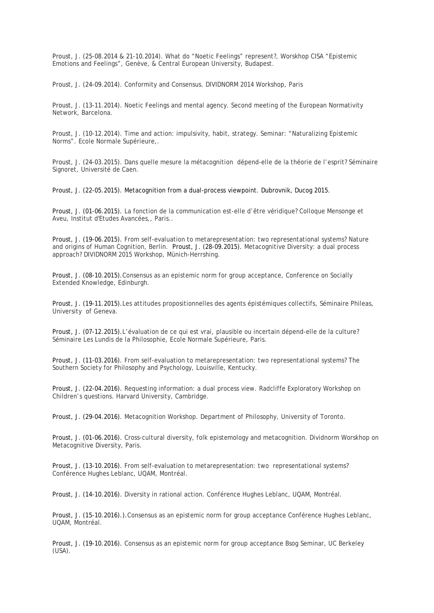Proust, J. (25-08.2014 & 21-10.2014). What do "Noetic Feelings" represent?, Worskhop CISA "Epistemic Emotions and Feelings", Genève, & Central European University, Budapest.

Proust, J. (24-09.2014). Conformity and Consensus. DIVIDNORM 2014 Workshop, Paris

Proust, J. (13-11.2014). Noetic Feelings and mental agency. Second meeting of the European Normativity Network, Barcelona.

Proust, J. (10-12.2014). Time and action: impulsivity, habit, strategy. Seminar: "Naturalizing Epistemic Norms". Ecole Normale Supérieure,.

Proust, J. (24-03.2015). Dans quelle mesure la métacognition dépend-elle de la théorie de l'esprit? Séminaire Signoret, Université de Caen.

Proust, J. (22-05.2015). Metacognition from a dual-process viewpoint. Dubrovnik, Ducog 2015[.](http://joelleproust.org/wp-content/uploads/2012/09/Proust_Ducog2015.pdf)

Proust, J. (01-06.2015). La fonction de la communication est-elle d'être véridique? Colloque Mensonge et Aveu, Institut d'Etudes Avancées,, Paris..

Proust, J. (19-06.2015). From self-evaluation to metarepresentation: two representational systems? Nature and origins of Human Cognition, Berlin. Proust, J. (28-09.2015). Metacognitive Diversity: a dual process approach? DIVIDNORM 2015 Workshop, Münich-Herrshing.

Proust, J. (08-10.2015).Consensus as an epistemic norm for group acceptance, Conference on Socially Extended Knowledge, Edinburgh.

Proust, J. (19-11.2015).Les attitudes propositionnelles des agents épistémiques collectifs, Séminaire Phileas, University of Geneva.

Proust, J. (07-12.2015).L'évaluation de ce qui est vrai, plausible ou incertain dépend-elle de la culture? Séminaire Les Lundis de la Philosophie, Ecole Normale Supérieure, Paris.

Proust, J. (11-03.2016). From self-evaluation to metarepresentation: two representational systems? The Southern Society for Philosophy and Psychology, Louisville, Kentucky.

Proust, J. (22-04.2016). Requesting information: a dual process view. Radcliffe Exploratory Workshop on Children's questions. Harvard University, Cambridge.

Proust, J. (29-04.2016). Metacognition Workshop. Department of Philosophy, University of Toronto.

Proust, J. (01-06.2016). Cross-cultural diversity, folk epistemology and metacognition. Dividnorm Worskhop on Metacognitive Diversity, Paris.

Proust, J. (13-10.2016). From self-evaluation to metarepresentation: two representational systems? Conférence Hughes Leblanc, UQAM, Montréal.

Proust, J. (14-10.2016). Diversity in rational action. Conférence Hughes Leblanc, UQAM, Montréal.

Proust, J. (15-10.2016).).Consensus as an epistemic norm for group acceptance Conférence Hughes Leblanc, UQAM, Montréal.

Proust, J. (19-10.2016). Consensus as an epistemic norm for group acceptance Bsog Seminar, UC Berkeley (USA).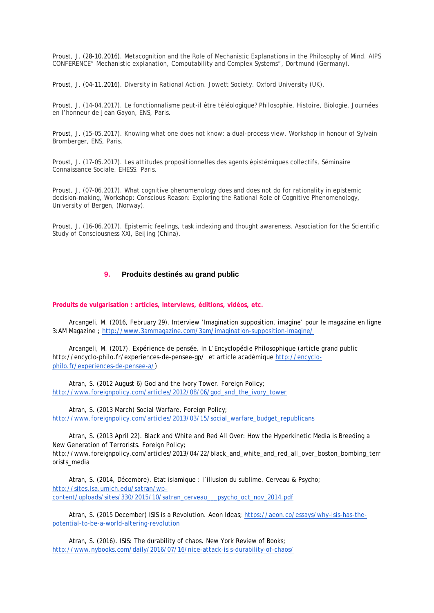Proust, J. (28-10.2016). Metacognition and the Role of Mechanistic Explanations in the Philosophy of Mind. AIPS CONFERENCE" Mechanistic explanation, Computability and Complex Systems", Dortmund (Germany).

Proust, J. (04-11.2016). Diversity in Rational Action. Jowett Society. Oxford University (UK).

Proust, J. (14-04.2017). Le fonctionnalisme peut-il être téléologique? Philosophie, Histoire, Biologie, Journées en l'honneur de Jean Gayon, ENS, Paris.

Proust, J. (15-05.2017). Knowing what one does not know: a dual-process view. Workshop in honour of Sylvain Bromberger, ENS, Paris.

Proust, J. (17-05.2017). Les attitudes propositionnelles des agents épistémiques collectifs, Séminaire Connaissance Sociale. EHESS. Paris.

Proust, J. (07-06.2017). What cognitive phenomenology does and does not do for rationality in epistemic decision-making, Workshop: Conscious Reason: Exploring the Rational Role of Cognitive Phenomenology, University of Bergen, (Norway).

Proust, J. (16-06.2017). Epistemic feelings, task indexing and thought awareness, Association for the Scientific Study of Consciousness XXI, Beijing (China).

# **9. Produits destinés au grand public**

**Produits de vulgarisation : articles, interviews, éditions, vidéos, etc.**

Arcangeli, M. (2016, February 29). Interview 'Imagination supposition, imagine' pour le magazine en ligne 3:AM Magazine ;<http://www.3ammagazine.com/3am/imagination-supposition-imagine/>

Arcangeli, M. (2017). Expérience de pensée. In *L'Encyclopédie Philosophique* (article grand public http://encyclo-philo.fr/experiences-de-pensee-gp/ et article académique [http://encyclo](http://encyclo-philo.fr/experiences-de-pensee-a/)[philo.fr/experiences-de-pensee-a/\)](http://encyclo-philo.fr/experiences-de-pensee-a/)

Atran, S. (2012 August 6) God and the Ivory Tower. Foreign Policy; [http://www.foreignpolicy.com/articles/2012/08/06/god\\_and\\_the\\_ivory\\_tower](http://www.foreignpolicy.com/articles/2012/08/06/god_and_the_ivory_tower)

Atran, S. (2013 March) Social Warfare, Foreign Policy; [http://www.foreignpolicy.com/articles/2013/03/15/social\\_warfare\\_budget\\_republicans](http://www.foreignpolicy.com/articles/2013/03/15/social_warfare_budget_republicans)

Atran, S. (2013 April 22). Black and White and Red All Over: How the Hyperkinetic Media is Breeding a New Generation of Terrorists. Foreign Policy; http://www.foreignpolicy.com/articles/2013/04/22/black\_and\_white\_and\_red\_all\_over\_boston\_bombing\_terr orists\_media

Atran, S. (2014, Décembre). Etat islamique : l'illusion du sublime. Cerveau & Psycho; [http://sites.lsa.umich.edu/satran/wp](http://sites.lsa.umich.edu/satran/wp-content/uploads/sites/330/2015/10/satran_cerveau___psycho_oct_nov_2014.pdf)[content/uploads/sites/330/2015/10/satran\\_cerveau\\_\\_\\_psycho\\_oct\\_nov\\_2014.pdf](http://sites.lsa.umich.edu/satran/wp-content/uploads/sites/330/2015/10/satran_cerveau___psycho_oct_nov_2014.pdf)

Atran, S. (2015 December) ISIS is a Revolution. Aeon Ideas; [https://aeon.co/essays/why-isis-has-the](https://aeon.co/essays/why-isis-has-the-potential-to-be-a-world-altering-revolution)[potential-to-be-a-world-altering-revolution](https://aeon.co/essays/why-isis-has-the-potential-to-be-a-world-altering-revolution)

Atran, S. (2016). ISIS: The durability of chaos. New York Review of Books; <http://www.nybooks.com/daily/2016/07/16/nice-attack-isis-durability-of-chaos/>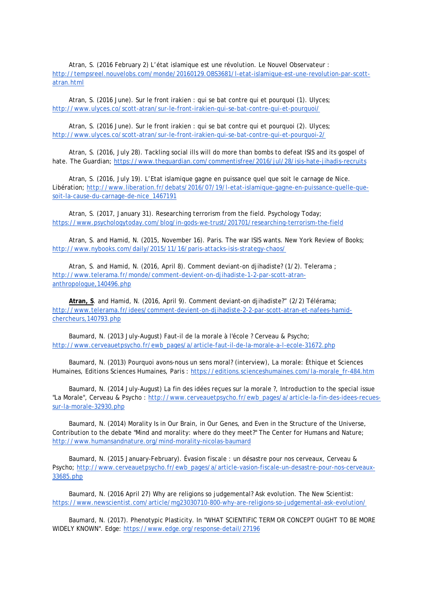Atran, S. (2016 February 2) L'état islamique est une révolution. Le Nouvel Observateur : [http://tempsreel.nouvelobs.com/monde/20160129.OBS3681/l-etat-islamique-est-une-revolution-par-scott](http://tempsreel.nouvelobs.com/monde/20160129.OBS3681/l-etat-islamique-est-une-revolution-par-scott-atran.html)[atran.html](http://tempsreel.nouvelobs.com/monde/20160129.OBS3681/l-etat-islamique-est-une-revolution-par-scott-atran.html)

Atran, S. (2016 June). Sur le front irakien : qui se bat contre qui et pourquoi (1). Ulyces; <http://www.ulyces.co/scott-atran/sur-le-front-irakien-qui-se-bat-contre-qui-et-pourquoi/>

Atran, S. (2016 June). Sur le front irakien : qui se bat contre qui et pourquoi (2). Ulyces; <http://www.ulyces.co/scott-atran/sur-le-front-irakien-qui-se-bat-contre-qui-et-pourquoi-2/>

Atran, S. (2016, July 28). Tackling social ills will do more than bombs to defeat ISIS and its gospel of hate. The Guardian;<https://www.theguardian.com/commentisfree/2016/jul/28/isis-hate-jihadis-recruits>

Atran, S. (2016, July 19). L'Etat islamique gagne en puissance quel que soit le carnage de Nice. Libération; [http://www.liberation.fr/debats/2016/07/19/l-etat-islamique-gagne-en-puissance-quelle-que](http://www.liberation.fr/debats/2016/07/19/l-etat-islamique-gagne-en-puissance-quelle-que-soit-la-cause-du-carnage-de-nice_1467191)[soit-la-cause-du-carnage-de-nice\\_1467191](http://www.liberation.fr/debats/2016/07/19/l-etat-islamique-gagne-en-puissance-quelle-que-soit-la-cause-du-carnage-de-nice_1467191)

Atran, S. (2017, January 31). Researching terrorism from the field. Psychology Today; <https://www.psychologytoday.com/blog/in-gods-we-trust/201701/researching-terrorism-the-field>

Atran, S. and Hamid, N. (2015, November 16). Paris. The war ISIS wants. New York Review of Books; <http://www.nybooks.com/daily/2015/11/16/paris-attacks-isis-strategy-chaos/>

Atran, S. and Hamid, N. (2016, April 8). Comment deviant-on djihadiste? (1/2). Telerama ; [http://www.telerama.fr/monde/comment-devient-on-djihadiste-1-2-par-scott-atran](http://www.telerama.fr/monde/comment-devient-on-djihadiste-1-2-par-scott-atran-anthropologue,140496.php)[anthropologue,140496.php](http://www.telerama.fr/monde/comment-devient-on-djihadiste-1-2-par-scott-atran-anthropologue,140496.php)

**Atran, S**. and Hamid, N. (2016, April 9). Comment deviant-on djihadiste?" (2/2) Télérama; [http://www.telerama.fr/idees/comment-devient-on-djihadiste-2-2-par-scott-atran-et-nafees-hamid](http://www.telerama.fr/idees/comment-devient-on-djihadiste-2-2-par-scott-atran-et-nafees-hamid-chercheurs,140793.php)[chercheurs,140793.php](http://www.telerama.fr/idees/comment-devient-on-djihadiste-2-2-par-scott-atran-et-nafees-hamid-chercheurs,140793.php)

Baumard, N. (2013 July-August) Faut-il de la morale à l'école ? Cerveau & Psycho; [http://www.cerveauetpsycho.fr/ewb\\_pages/a/article-faut-il-de-la-morale-a-l-ecole-31672.php](http://www.cerveauetpsycho.fr/ewb_pages/a/article-faut-il-de-la-morale-a-l-ecole-31672.php)

Baumard, N. (2013) Pourquoi avons-nous un sens moral? (interview), La morale: Éthique et Sciences Humaines, Editions Sciences Humaines, Paris : [https://editions.scienceshumaines.com/la-morale\\_fr-484.htm](https://editions.scienceshumaines.com/la-morale_fr-484.htm)

Baumard, N. (2014 July-August) La fin des idées reçues sur la morale ?, Introduction to the special issue "La Morale", Cerveau & Psycho : [http://www.cerveauetpsycho.fr/ewb\\_pages/a/article-la-fin-des-idees-recues](http://www.cerveauetpsycho.fr/ewb_pages/a/article-la-fin-des-idees-recues-sur-la-morale-32930.php)[sur-la-morale-32930.php](http://www.cerveauetpsycho.fr/ewb_pages/a/article-la-fin-des-idees-recues-sur-la-morale-32930.php)

Baumard, N. (2014) Morality Is in Our Brain, in Our Genes, and Even in the Structure of the Universe, Contribution to the debate "Mind and morality: where do they meet?" The Center for Humans and Nature; <http://www.humansandnature.org/mind-morality-nicolas-baumard>

Baumard, N. (2015 January-February). Évasion fiscale : un désastre pour nos cerveaux, Cerveau & Psycho; [http://www.cerveauetpsycho.fr/ewb\\_pages/a/article-vasion-fiscale-un-desastre-pour-nos-cerveaux-](http://www.cerveauetpsycho.fr/ewb_pages/a/article-vasion-fiscale-un-desastre-pour-nos-cerveaux-33685.php)[33685.php](http://www.cerveauetpsycho.fr/ewb_pages/a/article-vasion-fiscale-un-desastre-pour-nos-cerveaux-33685.php)

Baumard, N. (2016 April 27) Why are religions so judgemental? Ask evolution. The New Scientist: <https://www.newscientist.com/article/mg23030710-800-why-are-religions-so-judgemental-ask-evolution/>

Baumard, N. (2017). Phenotypic Plasticity. In "WHAT SCIENTIFIC TERM OR CONCEPT OUGHT TO BE MORE WIDELY KNOWN". Edge:<https://www.edge.org/response-detail/27196>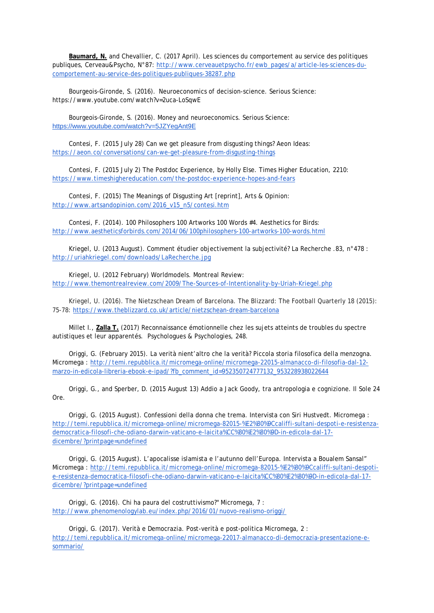**Baumard, N.** and Chevallier, C. (2017 April). Les sciences du comportement au service des politiques publiques, Cerveau&Psycho, N°87: [http://www.cerveauetpsycho.fr/ewb\\_pages/a/article-les-sciences-du](http://www.cerveauetpsycho.fr/ewb_pages/a/article-les-sciences-du-comportement-au-service-des-politiques-publiques-38287.php)[comportement-au-service-des-politiques-publiques-38287.php](http://www.cerveauetpsycho.fr/ewb_pages/a/article-les-sciences-du-comportement-au-service-des-politiques-publiques-38287.php)

Bourgeois-Gironde, S. (2016). Neuroeconomics of decision-science. Serious Science: https://www.youtube.com/watch?v=2uca-LoSqwE

Bourgeois-Gironde, S. (2016). Money and neuroeconomics. Serious Science: <https://www.youtube.com/watch?v=5JZYegAnt9E>

Contesi, F. (2015 July 28) Can we get pleasure from disgusting things? Aeon Ideas: <https://aeon.co/conversations/can-we-get-pleasure-from-disgusting-things>

Contesi, F. (2015 July 2) The Postdoc Experience, by Holly Else. Times Higher Education, 2210: <https://www.timeshighereducation.com/the-postdoc-experience-hopes-and-fears>

Contesi, F. (2015) The Meanings of Disgusting Art [reprint], Arts & Opinion: [http://www.artsandopinion.com/2016\\_v15\\_n5/contesi.htm](http://www.artsandopinion.com/2016_v15_n5/contesi.htm)

Contesi, F. (2014). 100 Philosophers 100 Artworks 100 Words #4. Aesthetics for Birds: <http://www.aestheticsforbirds.com/2014/06/100philosophers-100-artworks-100-words.html>

Kriegel, U. (2013 August). Comment étudier objectivement la subjectivité? La Recherche .83, n°478 : <http://uriahkriegel.com/downloads/LaRecherche.jpg>

Kriegel, U. (2012 February) Worldmodels. Montreal Review[:](http://www.themontrealreview.com/2009/The-Sources-of-Intentionality-by-Uriah-Kriegel.php) <http://www.themontrealreview.com/2009/The-Sources-of-Intentionality-by-Uriah-Kriegel.php>

Kriegel, U. (2016). The Nietzschean Dream of Barcelona. The Blizzard: The Football Quarterly 18 (2015): 75-78:<https://www.theblizzard.co.uk/article/nietzschean-dream-barcelona>

Millet I., **Zalla T.** (2017) Reconnaissance émotionnelle chez les sujets atteints de troubles du spectre autistiques et leur apparentés. Psychologues & Psychologies, 248.

Origgi, G. (February 2015). La verità nient'altro che la verità? Piccola storia filosofica della menzogna. Micromega : http://temi.repubblica.it/micromega-online/micromega-22015-almanacco-di-filosofia-dal-12 marzo-in-edicola-libreria-ebook-e-ipad/?fb\_comment\_id=952350724777132\_953228938022644

Origgi, G., and Sperber, D. (2015 August 13) Addio a Jack Goody, tra antropologia e cognizione. Il Sole 24 Ore.

Origgi, G. (2015 August). Confessioni della donna che trema. Intervista con Siri Hustvedt. Micromega : [http://temi.repubblica.it/micromega-online/micromega-82015-%E2%80%9Ccaliffi-sultani-despoti-e-resistenza](http://temi.repubblica.it/micromega-online/micromega-82015-%E2%80%9Ccaliffi-sultani-despoti-e-resistenza-democratica-filosofi-che-odiano-darwin-vaticano-e-laicita%CC%80%E2%80%9D-in-edicola-dal-17-dicembre/?printpage=undefined)[democratica-filosofi-che-odiano-darwin-vaticano-e-laicita%CC%80%E2%80%9D-in-edicola-dal-17](http://temi.repubblica.it/micromega-online/micromega-82015-%E2%80%9Ccaliffi-sultani-despoti-e-resistenza-democratica-filosofi-che-odiano-darwin-vaticano-e-laicita%CC%80%E2%80%9D-in-edicola-dal-17-dicembre/?printpage=undefined) [dicembre/?printpage=undefined](http://temi.repubblica.it/micromega-online/micromega-82015-%E2%80%9Ccaliffi-sultani-despoti-e-resistenza-democratica-filosofi-che-odiano-darwin-vaticano-e-laicita%CC%80%E2%80%9D-in-edicola-dal-17-dicembre/?printpage=undefined)

Origgi, G. (2015 August). L'apocalisse islamista e l'autunno dell'Europa. Intervista a Boualem Sansal" Micromega : [http://temi.repubblica.it/micromega-online/micromega-82015-%E2%80%9Ccaliffi-sultani-despoti](http://temi.repubblica.it/micromega-online/micromega-82015-%E2%80%9Ccaliffi-sultani-despoti-e-resistenza-democratica-filosofi-che-odiano-darwin-vaticano-e-laicita%CC%80%E2%80%9D-in-edicola-dal-17-dicembre/?printpage=undefined)[e-resistenza-democratica-filosofi-che-odiano-darwin-vaticano-e-laicita%CC%80%E2%80%9D-in-edicola-dal-17](http://temi.repubblica.it/micromega-online/micromega-82015-%E2%80%9Ccaliffi-sultani-despoti-e-resistenza-democratica-filosofi-che-odiano-darwin-vaticano-e-laicita%CC%80%E2%80%9D-in-edicola-dal-17-dicembre/?printpage=undefined) [dicembre/?printpage=undefined](http://temi.repubblica.it/micromega-online/micromega-82015-%E2%80%9Ccaliffi-sultani-despoti-e-resistenza-democratica-filosofi-che-odiano-darwin-vaticano-e-laicita%CC%80%E2%80%9D-in-edicola-dal-17-dicembre/?printpage=undefined)

Origgi, G. (2016). Chi ha paura del costruttivismo?" Micromega, 7 : <http://www.phenomenologylab.eu/index.php/2016/01/nuovo-realismo-origgi/>

Origgi, G. (2017). Verità e Democrazia. Post-verità e post-politica Micromega, 2 : [http://temi.repubblica.it/micromega-online/micromega-22017-almanacco-di-democrazia-presentazione-e](http://temi.repubblica.it/micromega-online/micromega-22017-almanacco-di-democrazia-presentazione-e-sommario/)[sommario/](http://temi.repubblica.it/micromega-online/micromega-22017-almanacco-di-democrazia-presentazione-e-sommario/)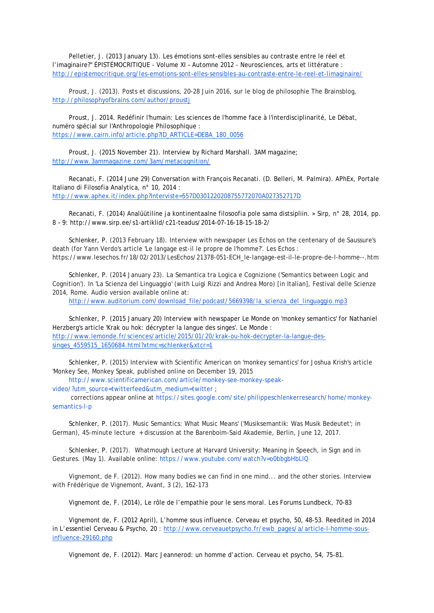Pelletier, J. (2013 January 13). Les émotions sont-elles sensibles au contraste entre le réel et l'imaginaire?" ÉPISTÉMOCRITIQUE - Volume XI – Automne 2012 - Neurosciences, arts et littérature : http://epistemocritique.org/les-emotions-sont-elles-sensibles-au-contraste-entre-le-reel-et-limaginaire/

Proust, J. (2013). Posts et discussions, 20-28 Juin 2016, sur le blog de philosophie The Brainsblog, <http://philosophyofbrains.com/author/proustj>

Proust, J. 2014. Redéfinir l'humain: Les sciences de l'homme face à l'interdisciplinarité, Le Débat, numéro spécial sur l'Anthropologie Philosophique : https://www.cairn.info/article.php?ID\_ARTICLE=DEBA\_180\_0056

Proust, J. (2015 November 21). Interview by Richard Marshall. 3AM magazine; http://www.3ammagazine.com/3am/metacognition/

Recanati, F. (2014 June 29) Conversation with François Recanati. (D. Belleri, M. Palmira). APhEx, Portale Italiano di Filosofia Analytica, n° 10, 2014 : http://www.aphex.it/index.php?Interviste=557D0301220208755772070A027352717D

Recanati, F. (2014) Analüütiline ja kontinentaalne filosoofia pole sama distsipliin. » Sirp, n° 28, 2014, pp. 8 – 9: http://www.sirp.ee/s1-artiklid/c21-teadus/2014-07-16-18-15-18-2/

Schlenker, P. (2013 February 18). Interview with newspaper Les Echos on the centenary of de Saussure's death (for Yann Verdo's article 'Le langage est-il le propre de l'homme?'. Les Echos : https://www.lesechos.fr/18/02/2013/LesEchos/21378-051-ECH\_le-langage-est-il-le-propre-de-l-homme--.htm

Schlenker, P. (2014 January 23). La Semantica tra Logica e Cognizione ('Semantics between Logic and Cognition'). In 'La Scienza del Linguaggio' (with Luigi Rizzi and Andrea Moro) [in Italian], Festival delle Scienze 2014, Rome. Audio version available online at:

[http://www.auditorium.com/download\\_file/podcast/5669398/la\\_scienza\\_del\\_linguaggio.mp3](http://www.auditorium.com/download_file/podcast/5669398/la_scienza_del_linguaggio.mp3)

Schlenker, P. (2015 January 20) Interview with newspaper Le Monde on 'monkey semantics' for Nathaniel Herzberg's article 'Krak ou hok: décrypter la langue des singes'. Le Monde [:](http://www.lemonde.fr/sciences/article/2015/01/20/krak-ou-hok-decrypter-la-langue-des-singes_4559515_1650684.html?xtmc=schlenker&xtcr=1) [http://www.lemonde.fr/sciences/article/2015/01/20/krak-ou-hok-decrypter-la-langue-des](http://www.lemonde.fr/sciences/article/2015/01/20/krak-ou-hok-decrypter-la-langue-des-singes_4559515_1650684.html?xtmc=schlenker&xtcr=1)[singes\\_4559515\\_1650684.html?xtmc=schlenker&xtcr=1](http://www.lemonde.fr/sciences/article/2015/01/20/krak-ou-hok-decrypter-la-langue-des-singes_4559515_1650684.html?xtmc=schlenker&xtcr=1)

Schlenker, P. (2015) Interview with Scientific American on 'monkey semantics' for Joshua Krish's article 'Monkey See, Monkey Speak, published online on December 19, 2015

http://www.scientificamerican.com/article/monkey-see-monkey-speak-

video/?utm\_source=twitterfeed&utm\_medium=twitter ;

corrections appear online at https://sites.google.com/site/philippeschlenkerresearch/home/monkeysemantics-l-p

Schlenker, P. (2017). Music Semantics: What Music Means' ('Musiksemantik: Was Musik Bedeutet'; in German), 45-minute lecture + discussion at the Barenboim-Said Akademie, Berlin, June 12, 2017.

Schlenker, P. (2017). Whatmough Lecture at Harvard University: Meaning in Speech, in Sign and in Gestures. (May 1). Available online: https://www.youtube.com/watch?v=o0bbgbHbLlQ

Vignemont, de F. (2012). How many bodies we can find in one mind... and the other stories. Interview with Frédérique de Vignemont, Avant, 3 (2), 162-173

Vignemont de, F. (2014), Le rôle de l'empathie pour le sens moral. Les Forums Lundbeck, 70-83

Vignemont de, F. (2012 April), L'homme sous influence. Cerveau et psycho, 50, 48-53. Reedited in 2014 in L'essentiel Cerveau & Psycho, 20 : [http://www.cerveauetpsycho.fr/ewb\\_pages/a/article-l-homme-sous](http://www.cerveauetpsycho.fr/ewb_pages/a/article-l-homme-sous-influence-29160.php)[influence-29160.php](http://www.cerveauetpsycho.fr/ewb_pages/a/article-l-homme-sous-influence-29160.php)

Vignemont de, F. (2012). Marc Jeannerod: un homme d'action. Cerveau et psycho, 54, 75-81.